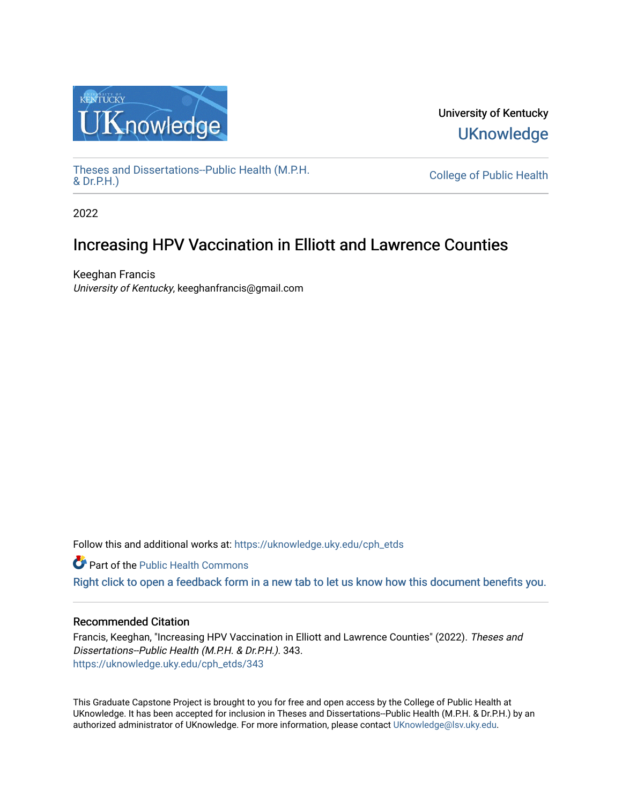

University of Kentucky **UKnowledge** 

[Theses and Dissertations--Public Health \(M.P.H.](https://uknowledge.uky.edu/cph_etds) & Dr.P.H.)

College of Public Health

2022

# Increasing HPV Vaccination in Elliott and Lawrence Counties

Keeghan Francis University of Kentucky, keeghanfrancis@gmail.com

Follow this and additional works at: [https://uknowledge.uky.edu/cph\\_etds](https://uknowledge.uky.edu/cph_etds?utm_source=uknowledge.uky.edu%2Fcph_etds%2F343&utm_medium=PDF&utm_campaign=PDFCoverPages) 

Part of the [Public Health Commons](http://network.bepress.com/hgg/discipline/738?utm_source=uknowledge.uky.edu%2Fcph_etds%2F343&utm_medium=PDF&utm_campaign=PDFCoverPages) 

[Right click to open a feedback form in a new tab to let us know how this document benefits you.](https://uky.az1.qualtrics.com/jfe/form/SV_9mq8fx2GnONRfz7)

## Recommended Citation

Francis, Keeghan, "Increasing HPV Vaccination in Elliott and Lawrence Counties" (2022). Theses and Dissertations--Public Health (M.P.H. & Dr.P.H.). 343. [https://uknowledge.uky.edu/cph\\_etds/343](https://uknowledge.uky.edu/cph_etds/343?utm_source=uknowledge.uky.edu%2Fcph_etds%2F343&utm_medium=PDF&utm_campaign=PDFCoverPages) 

This Graduate Capstone Project is brought to you for free and open access by the College of Public Health at UKnowledge. It has been accepted for inclusion in Theses and Dissertations--Public Health (M.P.H. & Dr.P.H.) by an authorized administrator of UKnowledge. For more information, please contact [UKnowledge@lsv.uky.edu](mailto:UKnowledge@lsv.uky.edu).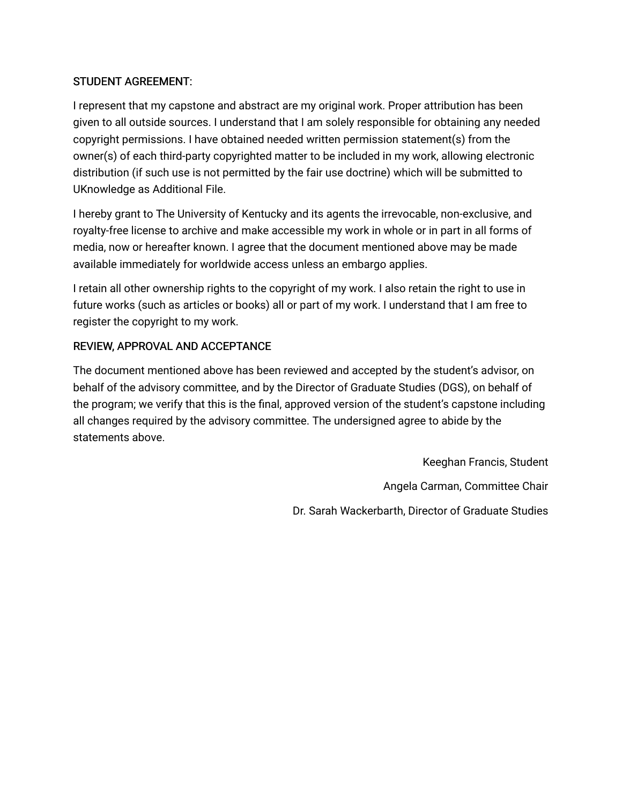# STUDENT AGREEMENT:

I represent that my capstone and abstract are my original work. Proper attribution has been given to all outside sources. I understand that I am solely responsible for obtaining any needed copyright permissions. I have obtained needed written permission statement(s) from the owner(s) of each third-party copyrighted matter to be included in my work, allowing electronic distribution (if such use is not permitted by the fair use doctrine) which will be submitted to UKnowledge as Additional File.

I hereby grant to The University of Kentucky and its agents the irrevocable, non-exclusive, and royalty-free license to archive and make accessible my work in whole or in part in all forms of media, now or hereafter known. I agree that the document mentioned above may be made available immediately for worldwide access unless an embargo applies.

I retain all other ownership rights to the copyright of my work. I also retain the right to use in future works (such as articles or books) all or part of my work. I understand that I am free to register the copyright to my work.

# REVIEW, APPROVAL AND ACCEPTANCE

The document mentioned above has been reviewed and accepted by the student's advisor, on behalf of the advisory committee, and by the Director of Graduate Studies (DGS), on behalf of the program; we verify that this is the final, approved version of the student's capstone including all changes required by the advisory committee. The undersigned agree to abide by the statements above.

> Keeghan Francis, Student Angela Carman, Committee Chair Dr. Sarah Wackerbarth, Director of Graduate Studies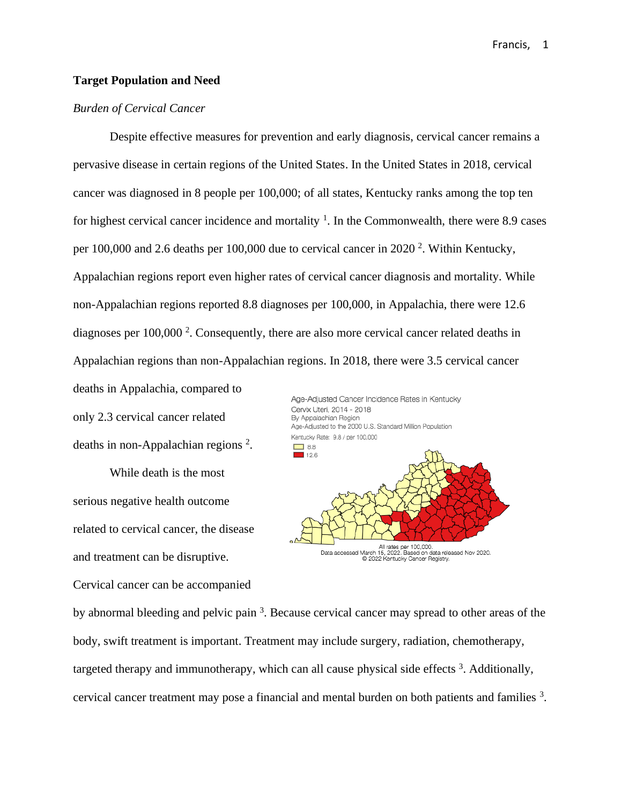#### **Target Population and Need**

#### *Burden of Cervical Cancer*

Despite effective measures for prevention and early diagnosis, cervical cancer remains a pervasive disease in certain regions of the United States. In the United States in 2018, cervical cancer was diagnosed in 8 people per 100,000; of all states, Kentucky ranks among the top ten for highest cervical cancer incidence and mortality  $1$ . In the Commonwealth, there were 8.9 cases per 100,000 and 2.6 deaths per 100,000 due to cervical cancer in 2020<sup>2</sup>. Within Kentucky, Appalachian regions report even higher rates of cervical cancer diagnosis and mortality. While non-Appalachian regions reported 8.8 diagnoses per 100,000, in Appalachia, there were 12.6 diagnoses per 100,000<sup>2</sup>. Consequently, there are also more cervical cancer related deaths in Appalachian regions than non-Appalachian regions. In 2018, there were 3.5 cervical cancer

deaths in Appalachia, compared to only 2.3 cervical cancer related deaths in non-Appalachian regions<sup>2</sup>.

While death is the most serious negative health outcome related to cervical cancer, the disease and treatment can be disruptive.

Cervical cancer can be accompanied

Age-Adjusted Cancer Incidence Rates in Kentucky Cervix Uteri, 2014 - 2018 By Appalachian Region Age-Adjusted to the 2000 U.S. Standard Million Population Kentucky Rate: 9.8 / per 100,000  $\Box$  8.8  $126$ All rates per 100,000.<br>15, 2022. Based on data released Nov 2020. Data accessed March C 2022 Kentucky Cancer Registry.

by abnormal bleeding and pelvic pain<sup>3</sup>. Because cervical cancer may spread to other areas of the body, swift treatment is important. Treatment may include surgery, radiation, chemotherapy, targeted therapy and immunotherapy, which can all cause physical side effects<sup>3</sup>. Additionally, cervical cancer treatment may pose a financial and mental burden on both patients and families <sup>3</sup>.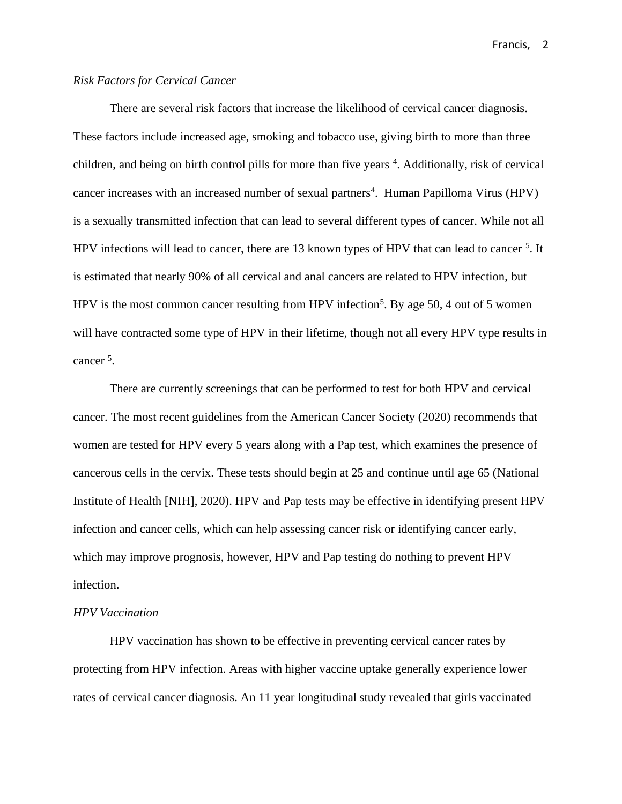### *Risk Factors for Cervical Cancer*

There are several risk factors that increase the likelihood of cervical cancer diagnosis. These factors include increased age, smoking and tobacco use, giving birth to more than three children, and being on birth control pills for more than five years <sup>4</sup>. Additionally, risk of cervical cancer increases with an increased number of sexual partners<sup>4</sup>. Human Papilloma Virus (HPV) is a sexually transmitted infection that can lead to several different types of cancer. While not all HPV infections will lead to cancer, there are 13 known types of HPV that can lead to cancer <sup>5</sup>. It is estimated that nearly 90% of all cervical and anal cancers are related to HPV infection, but HPV is the most common cancer resulting from HPV infection<sup>5</sup>. By age 50, 4 out of 5 women will have contracted some type of HPV in their lifetime, though not all every HPV type results in cancer<sup>5</sup>.

There are currently screenings that can be performed to test for both HPV and cervical cancer. The most recent guidelines from the American Cancer Society (2020) recommends that women are tested for HPV every 5 years along with a Pap test, which examines the presence of cancerous cells in the cervix. These tests should begin at 25 and continue until age 65 (National Institute of Health [NIH], 2020). HPV and Pap tests may be effective in identifying present HPV infection and cancer cells, which can help assessing cancer risk or identifying cancer early, which may improve prognosis, however, HPV and Pap testing do nothing to prevent HPV infection.

## *HPV Vaccination*

HPV vaccination has shown to be effective in preventing cervical cancer rates by protecting from HPV infection. Areas with higher vaccine uptake generally experience lower rates of cervical cancer diagnosis. An 11 year longitudinal study revealed that girls vaccinated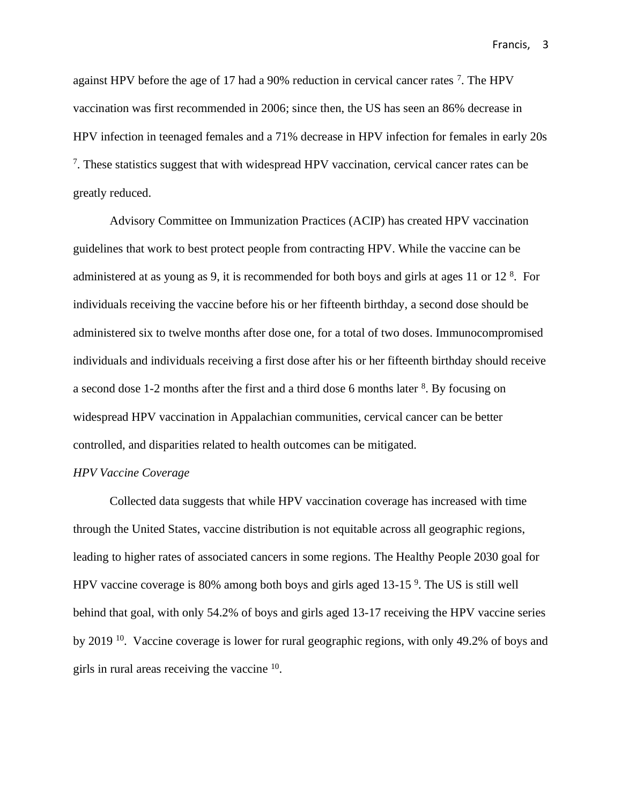against HPV before the age of 17 had a 90% reduction in cervical cancer rates  $\frac{7}{1}$ . The HPV vaccination was first recommended in 2006; since then, the US has seen an 86% decrease in HPV infection in teenaged females and a 71% decrease in HPV infection for females in early 20s <sup>7</sup>. These statistics suggest that with widespread HPV vaccination, cervical cancer rates can be greatly reduced.

Advisory Committee on Immunization Practices (ACIP) has created HPV vaccination guidelines that work to best protect people from contracting HPV. While the vaccine can be administered at as young as 9, it is recommended for both boys and girls at ages 11 or 12 $<sup>8</sup>$ . For</sup> individuals receiving the vaccine before his or her fifteenth birthday, a second dose should be administered six to twelve months after dose one, for a total of two doses. Immunocompromised individuals and individuals receiving a first dose after his or her fifteenth birthday should receive a second dose 1-2 months after the first and a third dose 6 months later <sup>8</sup>. By focusing on widespread HPV vaccination in Appalachian communities, cervical cancer can be better controlled, and disparities related to health outcomes can be mitigated.

#### *HPV Vaccine Coverage*

Collected data suggests that while HPV vaccination coverage has increased with time through the United States, vaccine distribution is not equitable across all geographic regions, leading to higher rates of associated cancers in some regions. The Healthy People 2030 goal for HPV vaccine coverage is 80% among both boys and girls aged 13-15<sup>9</sup>. The US is still well behind that goal, with only 54.2% of boys and girls aged 13-17 receiving the HPV vaccine series by 2019 <sup>10</sup>. Vaccine coverage is lower for rural geographic regions, with only 49.2% of boys and girls in rural areas receiving the vaccine <sup>10</sup>.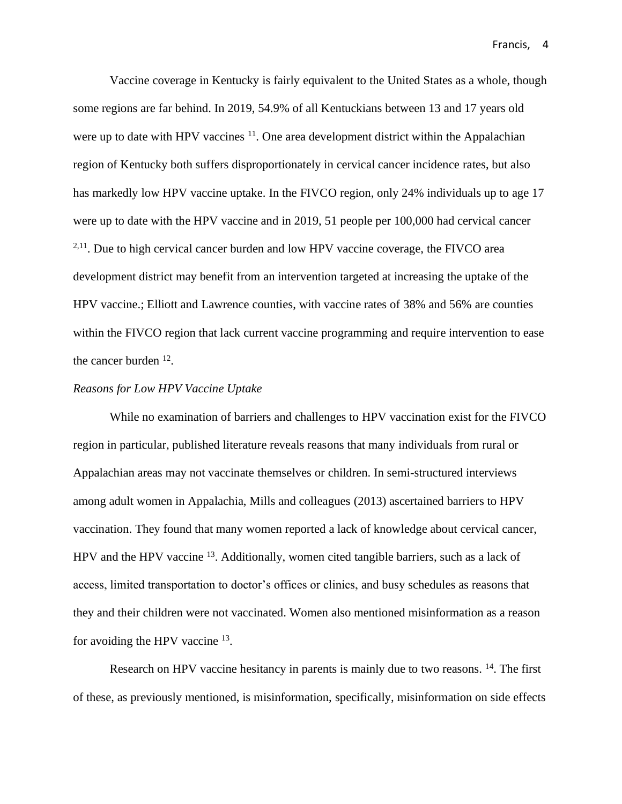Vaccine coverage in Kentucky is fairly equivalent to the United States as a whole, though some regions are far behind. In 2019, 54.9% of all Kentuckians between 13 and 17 years old were up to date with HPV vaccines  $11$ . One area development district within the Appalachian region of Kentucky both suffers disproportionately in cervical cancer incidence rates, but also has markedly low HPV vaccine uptake. In the FIVCO region, only 24% individuals up to age 17 were up to date with the HPV vaccine and in 2019, 51 people per 100,000 had cervical cancer  $2,11$ . Due to high cervical cancer burden and low HPV vaccine coverage, the FIVCO area development district may benefit from an intervention targeted at increasing the uptake of the HPV vaccine.; Elliott and Lawrence counties, with vaccine rates of 38% and 56% are counties within the FIVCO region that lack current vaccine programming and require intervention to ease the cancer burden <sup>12</sup>.

#### *Reasons for Low HPV Vaccine Uptake*

While no examination of barriers and challenges to HPV vaccination exist for the FIVCO region in particular, published literature reveals reasons that many individuals from rural or Appalachian areas may not vaccinate themselves or children. In semi-structured interviews among adult women in Appalachia, Mills and colleagues (2013) ascertained barriers to HPV vaccination. They found that many women reported a lack of knowledge about cervical cancer, HPV and the HPV vaccine <sup>13</sup>. Additionally, women cited tangible barriers, such as a lack of access, limited transportation to doctor's offices or clinics, and busy schedules as reasons that they and their children were not vaccinated. Women also mentioned misinformation as a reason for avoiding the HPV vaccine <sup>13</sup>.

Research on HPV vaccine hesitancy in parents is mainly due to two reasons. <sup>14</sup>. The first of these, as previously mentioned, is misinformation, specifically, misinformation on side effects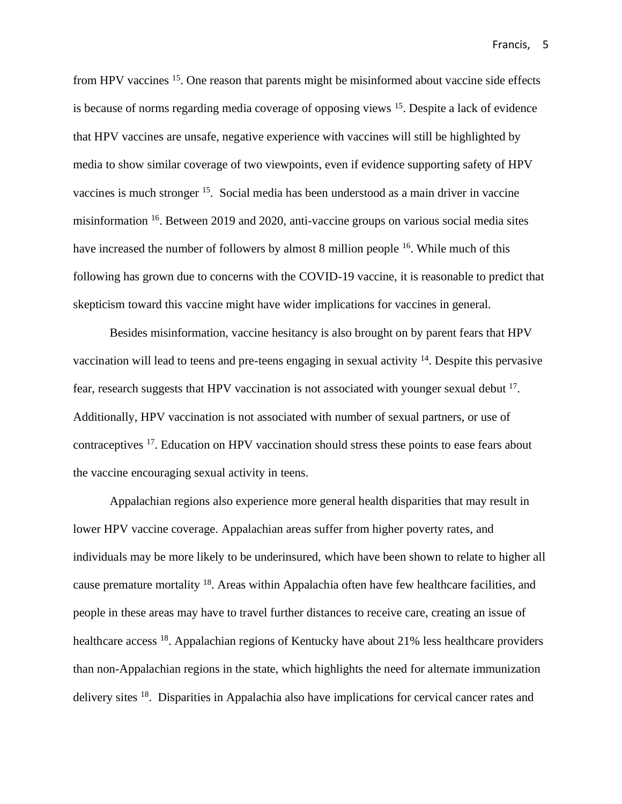from HPV vaccines <sup>15</sup>. One reason that parents might be misinformed about vaccine side effects is because of norms regarding media coverage of opposing views <sup>15</sup>. Despite a lack of evidence that HPV vaccines are unsafe, negative experience with vaccines will still be highlighted by media to show similar coverage of two viewpoints, even if evidence supporting safety of HPV vaccines is much stronger <sup>15</sup>. Social media has been understood as a main driver in vaccine misinformation <sup>16</sup>. Between 2019 and 2020, anti-vaccine groups on various social media sites have increased the number of followers by almost 8 million people <sup>16</sup>. While much of this following has grown due to concerns with the COVID-19 vaccine, it is reasonable to predict that skepticism toward this vaccine might have wider implications for vaccines in general.

Besides misinformation, vaccine hesitancy is also brought on by parent fears that HPV vaccination will lead to teens and pre-teens engaging in sexual activity <sup>14</sup>. Despite this pervasive fear, research suggests that HPV vaccination is not associated with younger sexual debut <sup>17</sup>. Additionally, HPV vaccination is not associated with number of sexual partners, or use of contraceptives <sup>17</sup>. Education on HPV vaccination should stress these points to ease fears about the vaccine encouraging sexual activity in teens.

Appalachian regions also experience more general health disparities that may result in lower HPV vaccine coverage. Appalachian areas suffer from higher poverty rates, and individuals may be more likely to be underinsured, which have been shown to relate to higher all cause premature mortality <sup>18</sup>. Areas within Appalachia often have few healthcare facilities, and people in these areas may have to travel further distances to receive care, creating an issue of healthcare access <sup>18</sup>. Appalachian regions of Kentucky have about 21% less healthcare providers than non-Appalachian regions in the state, which highlights the need for alternate immunization delivery sites <sup>18</sup>. Disparities in Appalachia also have implications for cervical cancer rates and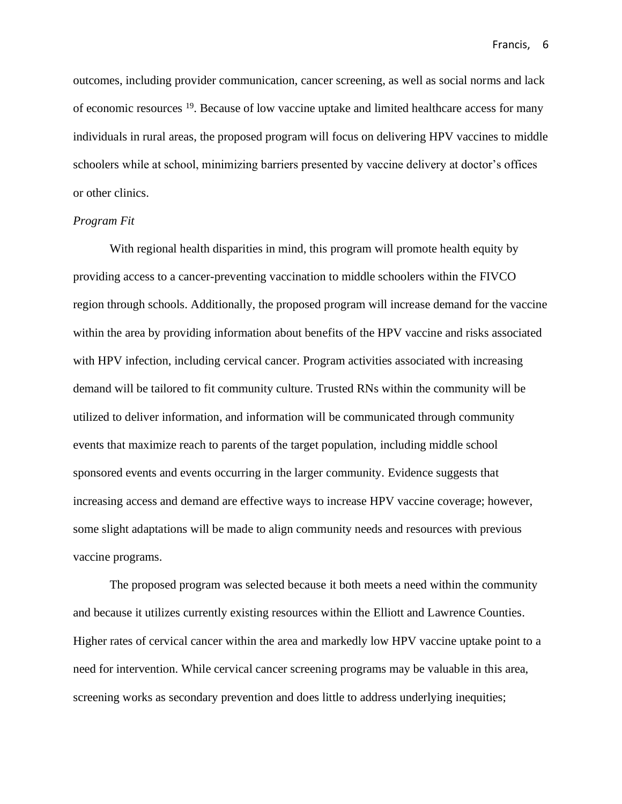outcomes, including provider communication, cancer screening, as well as social norms and lack of economic resources <sup>19</sup>. Because of low vaccine uptake and limited healthcare access for many individuals in rural areas, the proposed program will focus on delivering HPV vaccines to middle schoolers while at school, minimizing barriers presented by vaccine delivery at doctor's offices or other clinics.

#### *Program Fit*

With regional health disparities in mind, this program will promote health equity by providing access to a cancer-preventing vaccination to middle schoolers within the FIVCO region through schools. Additionally, the proposed program will increase demand for the vaccine within the area by providing information about benefits of the HPV vaccine and risks associated with HPV infection, including cervical cancer. Program activities associated with increasing demand will be tailored to fit community culture. Trusted RNs within the community will be utilized to deliver information, and information will be communicated through community events that maximize reach to parents of the target population, including middle school sponsored events and events occurring in the larger community. Evidence suggests that increasing access and demand are effective ways to increase HPV vaccine coverage; however, some slight adaptations will be made to align community needs and resources with previous vaccine programs.

The proposed program was selected because it both meets a need within the community and because it utilizes currently existing resources within the Elliott and Lawrence Counties. Higher rates of cervical cancer within the area and markedly low HPV vaccine uptake point to a need for intervention. While cervical cancer screening programs may be valuable in this area, screening works as secondary prevention and does little to address underlying inequities;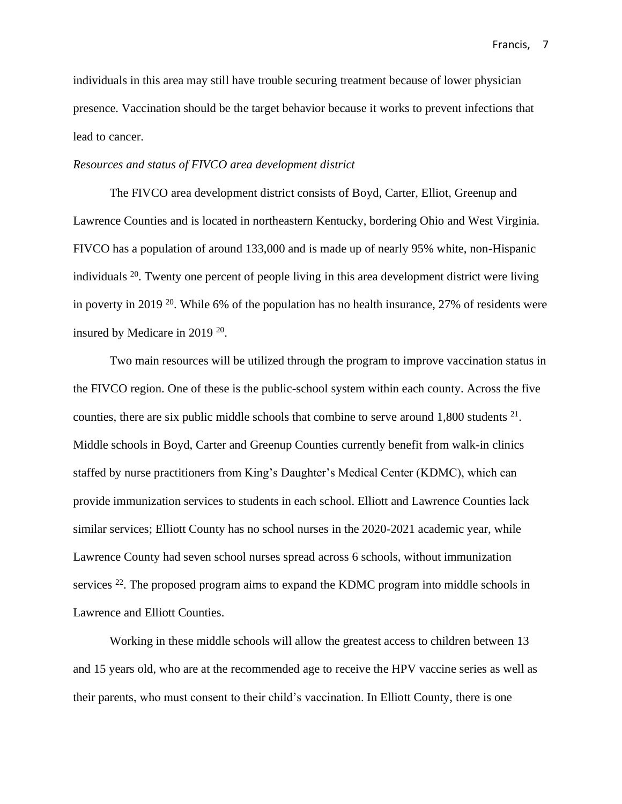individuals in this area may still have trouble securing treatment because of lower physician presence. Vaccination should be the target behavior because it works to prevent infections that lead to cancer.

#### *Resources and status of FIVCO area development district*

The FIVCO area development district consists of Boyd, Carter, Elliot, Greenup and Lawrence Counties and is located in northeastern Kentucky, bordering Ohio and West Virginia. FIVCO has a population of around 133,000 and is made up of nearly 95% white, non-Hispanic individuals  $20$ . Twenty one percent of people living in this area development district were living in poverty in 2019<sup>20</sup>. While 6% of the population has no health insurance, 27% of residents were insured by Medicare in 2019<sup>20</sup>.

Two main resources will be utilized through the program to improve vaccination status in the FIVCO region. One of these is the public-school system within each county. Across the five counties, there are six public middle schools that combine to serve around  $1,800$  students  $2<sup>1</sup>$ . Middle schools in Boyd, Carter and Greenup Counties currently benefit from walk-in clinics staffed by nurse practitioners from King's Daughter's Medical Center (KDMC), which can provide immunization services to students in each school. Elliott and Lawrence Counties lack similar services; Elliott County has no school nurses in the 2020-2021 academic year, while Lawrence County had seven school nurses spread across 6 schools, without immunization services  $22$ . The proposed program aims to expand the KDMC program into middle schools in Lawrence and Elliott Counties.

Working in these middle schools will allow the greatest access to children between 13 and 15 years old, who are at the recommended age to receive the HPV vaccine series as well as their parents, who must consent to their child's vaccination. In Elliott County, there is one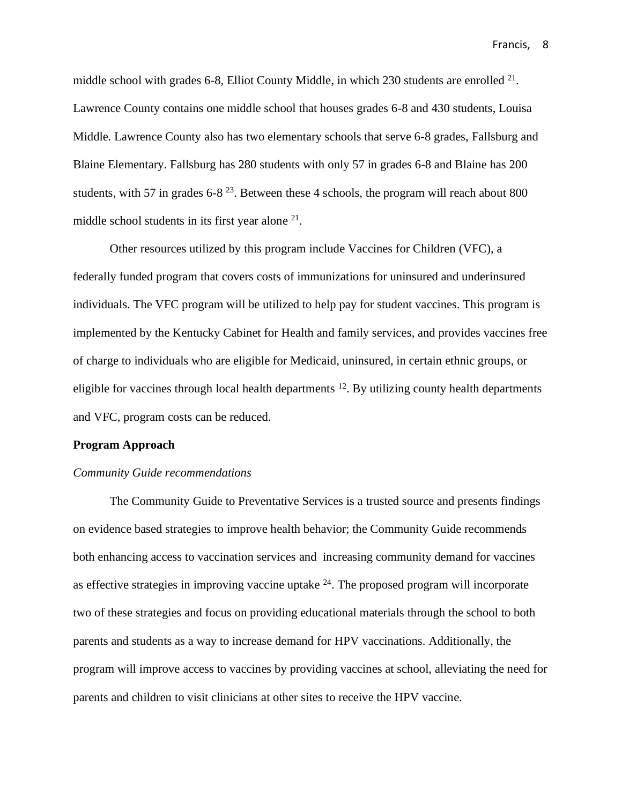middle school with grades 6-8, Elliot County Middle, in which 230 students are enrolled  $21$ . Lawrence County contains one middle school that houses grades 6-8 and 430 students, Louisa Middle. Lawrence County also has two elementary schools that serve 6-8 grades, Fallsburg and Blaine Elementary. Fallsburg has 280 students with only 57 in grades 6-8 and Blaine has 200 students, with 57 in grades  $6-8^{23}$ . Between these 4 schools, the program will reach about 800 middle school students in its first year alone <sup>21</sup>.

Other resources utilized by this program include Vaccines for Children (VFC), a federally funded program that covers costs of immunizations for uninsured and underinsured individuals. The VFC program will be utilized to help pay for student vaccines. This program is implemented by the Kentucky Cabinet for Health and family services, and provides vaccines free of charge to individuals who are eligible for Medicaid, uninsured, in certain ethnic groups, or eligible for vaccines through local health departments <sup>12</sup>. By utilizing county health departments and VFC, program costs can be reduced.

#### **Program Approach**

#### *Community Guide recommendations*

The Community Guide to Preventative Services is a trusted source and presents findings on evidence based strategies to improve health behavior; the Community Guide recommends both enhancing access to vaccination services and increasing community demand for vaccines as effective strategies in improving vaccine uptake  $24$ . The proposed program will incorporate two of these strategies and focus on providing educational materials through the school to both parents and students as a way to increase demand for HPV vaccinations. Additionally, the program will improve access to vaccines by providing vaccines at school, alleviating the need for parents and children to visit clinicians at other sites to receive the HPV vaccine.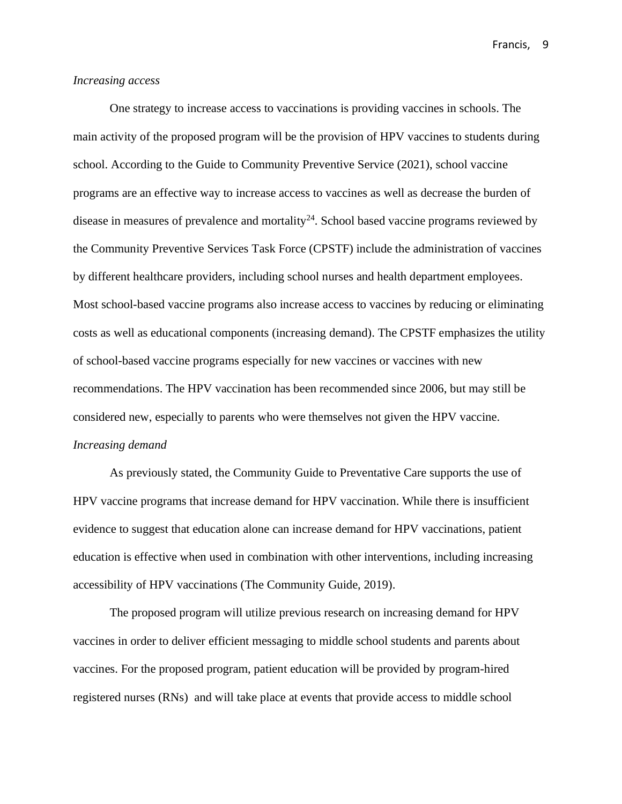#### *Increasing access*

One strategy to increase access to vaccinations is providing vaccines in schools. The main activity of the proposed program will be the provision of HPV vaccines to students during school. According to the Guide to Community Preventive Service (2021), school vaccine programs are an effective way to increase access to vaccines as well as decrease the burden of disease in measures of prevalence and mortality<sup>24</sup>. School based vaccine programs reviewed by the Community Preventive Services Task Force (CPSTF) include the administration of vaccines by different healthcare providers, including school nurses and health department employees. Most school-based vaccine programs also increase access to vaccines by reducing or eliminating costs as well as educational components (increasing demand). The CPSTF emphasizes the utility of school-based vaccine programs especially for new vaccines or vaccines with new recommendations. The HPV vaccination has been recommended since 2006, but may still be considered new, especially to parents who were themselves not given the HPV vaccine. *Increasing demand*

As previously stated, the Community Guide to Preventative Care supports the use of HPV vaccine programs that increase demand for HPV vaccination. While there is insufficient evidence to suggest that education alone can increase demand for HPV vaccinations, patient education is effective when used in combination with other interventions, including increasing accessibility of HPV vaccinations (The Community Guide, 2019).

The proposed program will utilize previous research on increasing demand for HPV vaccines in order to deliver efficient messaging to middle school students and parents about vaccines. For the proposed program, patient education will be provided by program-hired registered nurses (RNs) and will take place at events that provide access to middle school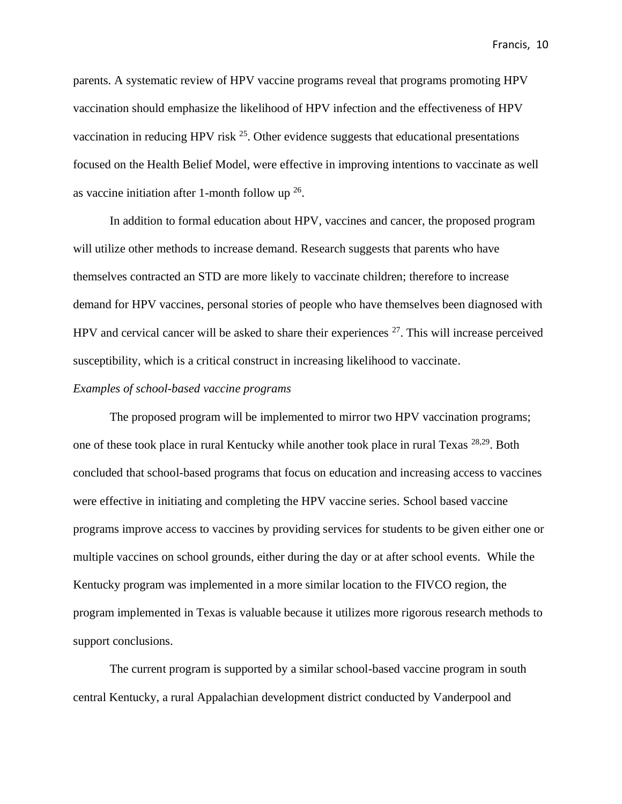parents. A systematic review of HPV vaccine programs reveal that programs promoting HPV vaccination should emphasize the likelihood of HPV infection and the effectiveness of HPV vaccination in reducing HPV risk  $25$ . Other evidence suggests that educational presentations focused on the Health Belief Model, were effective in improving intentions to vaccinate as well as vaccine initiation after 1-month follow up  $26$ .

In addition to formal education about HPV, vaccines and cancer, the proposed program will utilize other methods to increase demand. Research suggests that parents who have themselves contracted an STD are more likely to vaccinate children; therefore to increase demand for HPV vaccines, personal stories of people who have themselves been diagnosed with HPV and cervical cancer will be asked to share their experiences  $27$ . This will increase perceived susceptibility, which is a critical construct in increasing likelihood to vaccinate.

#### *Examples of school-based vaccine programs*

The proposed program will be implemented to mirror two HPV vaccination programs; one of these took place in rural Kentucky while another took place in rural Texas 28,29. Both concluded that school-based programs that focus on education and increasing access to vaccines were effective in initiating and completing the HPV vaccine series. School based vaccine programs improve access to vaccines by providing services for students to be given either one or multiple vaccines on school grounds, either during the day or at after school events. While the Kentucky program was implemented in a more similar location to the FIVCO region, the program implemented in Texas is valuable because it utilizes more rigorous research methods to support conclusions.

The current program is supported by a similar school-based vaccine program in south central Kentucky, a rural Appalachian development district conducted by Vanderpool and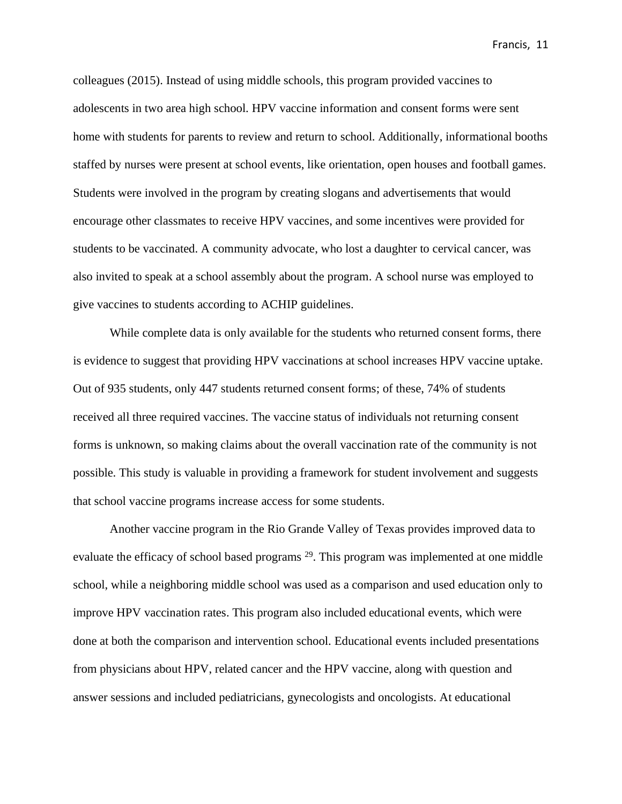colleagues (2015). Instead of using middle schools, this program provided vaccines to adolescents in two area high school. HPV vaccine information and consent forms were sent home with students for parents to review and return to school. Additionally, informational booths staffed by nurses were present at school events, like orientation, open houses and football games. Students were involved in the program by creating slogans and advertisements that would encourage other classmates to receive HPV vaccines, and some incentives were provided for students to be vaccinated. A community advocate, who lost a daughter to cervical cancer, was also invited to speak at a school assembly about the program. A school nurse was employed to give vaccines to students according to ACHIP guidelines.

While complete data is only available for the students who returned consent forms, there is evidence to suggest that providing HPV vaccinations at school increases HPV vaccine uptake. Out of 935 students, only 447 students returned consent forms; of these, 74% of students received all three required vaccines. The vaccine status of individuals not returning consent forms is unknown, so making claims about the overall vaccination rate of the community is not possible. This study is valuable in providing a framework for student involvement and suggests that school vaccine programs increase access for some students.

Another vaccine program in the Rio Grande Valley of Texas provides improved data to evaluate the efficacy of school based programs <sup>29</sup>. This program was implemented at one middle school, while a neighboring middle school was used as a comparison and used education only to improve HPV vaccination rates. This program also included educational events, which were done at both the comparison and intervention school. Educational events included presentations from physicians about HPV, related cancer and the HPV vaccine, along with question and answer sessions and included pediatricians, gynecologists and oncologists. At educational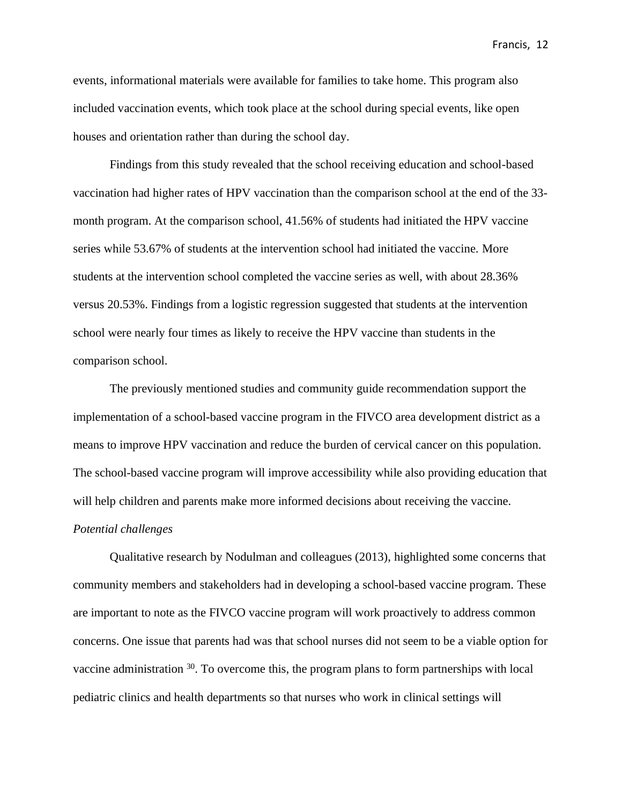events, informational materials were available for families to take home. This program also included vaccination events, which took place at the school during special events, like open houses and orientation rather than during the school day.

Findings from this study revealed that the school receiving education and school-based vaccination had higher rates of HPV vaccination than the comparison school at the end of the 33 month program. At the comparison school, 41.56% of students had initiated the HPV vaccine series while 53.67% of students at the intervention school had initiated the vaccine. More students at the intervention school completed the vaccine series as well, with about 28.36% versus 20.53%. Findings from a logistic regression suggested that students at the intervention school were nearly four times as likely to receive the HPV vaccine than students in the comparison school.

The previously mentioned studies and community guide recommendation support the implementation of a school-based vaccine program in the FIVCO area development district as a means to improve HPV vaccination and reduce the burden of cervical cancer on this population. The school-based vaccine program will improve accessibility while also providing education that will help children and parents make more informed decisions about receiving the vaccine.

#### *Potential challenges*

Qualitative research by Nodulman and colleagues (2013), highlighted some concerns that community members and stakeholders had in developing a school-based vaccine program. These are important to note as the FIVCO vaccine program will work proactively to address common concerns. One issue that parents had was that school nurses did not seem to be a viable option for vaccine administration  $30$ . To overcome this, the program plans to form partnerships with local pediatric clinics and health departments so that nurses who work in clinical settings will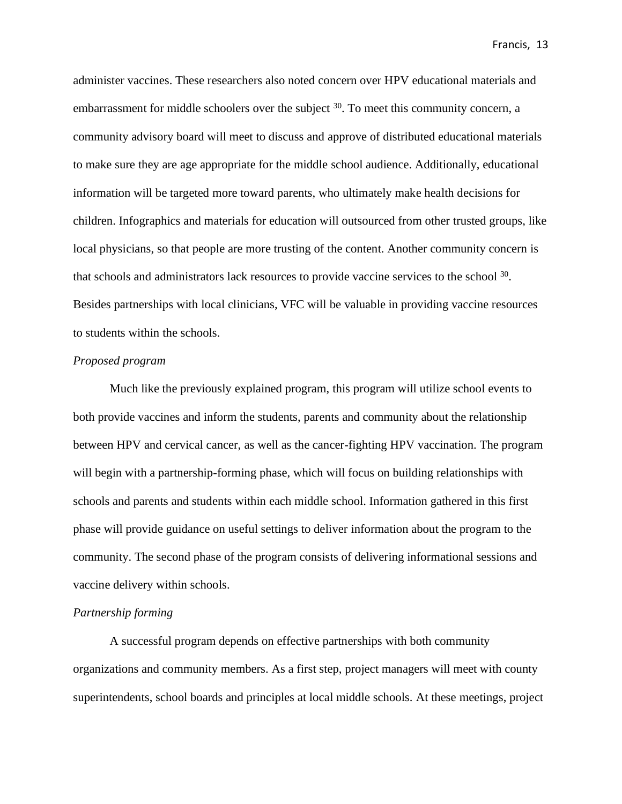administer vaccines. These researchers also noted concern over HPV educational materials and embarrassment for middle schoolers over the subject <sup>30</sup>. To meet this community concern, a community advisory board will meet to discuss and approve of distributed educational materials to make sure they are age appropriate for the middle school audience. Additionally, educational information will be targeted more toward parents, who ultimately make health decisions for children. Infographics and materials for education will outsourced from other trusted groups, like local physicians, so that people are more trusting of the content. Another community concern is that schools and administrators lack resources to provide vaccine services to the school <sup>30</sup>. Besides partnerships with local clinicians, VFC will be valuable in providing vaccine resources to students within the schools.

#### *Proposed program*

Much like the previously explained program, this program will utilize school events to both provide vaccines and inform the students, parents and community about the relationship between HPV and cervical cancer, as well as the cancer-fighting HPV vaccination. The program will begin with a partnership-forming phase, which will focus on building relationships with schools and parents and students within each middle school. Information gathered in this first phase will provide guidance on useful settings to deliver information about the program to the community. The second phase of the program consists of delivering informational sessions and vaccine delivery within schools.

#### *Partnership forming*

A successful program depends on effective partnerships with both community organizations and community members. As a first step, project managers will meet with county superintendents, school boards and principles at local middle schools. At these meetings, project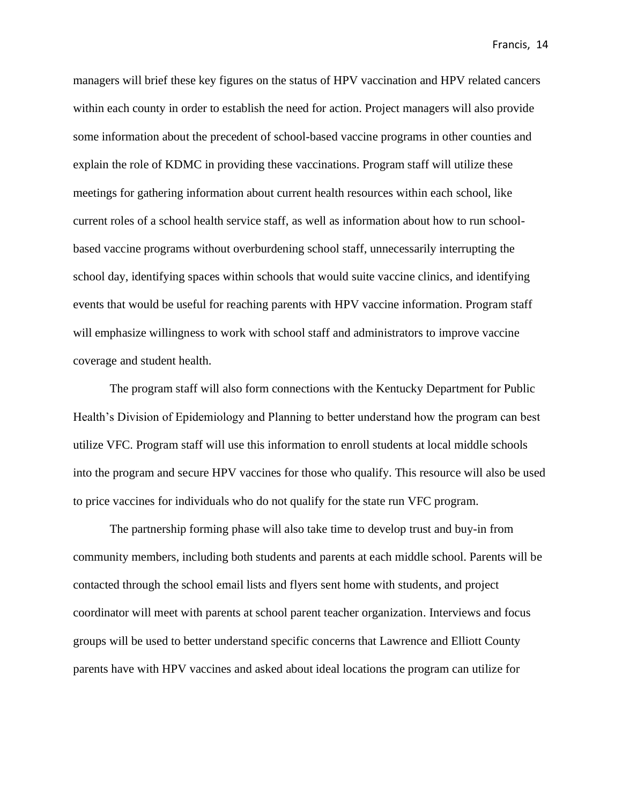managers will brief these key figures on the status of HPV vaccination and HPV related cancers within each county in order to establish the need for action. Project managers will also provide some information about the precedent of school-based vaccine programs in other counties and explain the role of KDMC in providing these vaccinations. Program staff will utilize these meetings for gathering information about current health resources within each school, like current roles of a school health service staff, as well as information about how to run schoolbased vaccine programs without overburdening school staff, unnecessarily interrupting the school day, identifying spaces within schools that would suite vaccine clinics, and identifying events that would be useful for reaching parents with HPV vaccine information. Program staff will emphasize willingness to work with school staff and administrators to improve vaccine coverage and student health.

The program staff will also form connections with the Kentucky Department for Public Health's Division of Epidemiology and Planning to better understand how the program can best utilize VFC. Program staff will use this information to enroll students at local middle schools into the program and secure HPV vaccines for those who qualify. This resource will also be used to price vaccines for individuals who do not qualify for the state run VFC program.

The partnership forming phase will also take time to develop trust and buy-in from community members, including both students and parents at each middle school. Parents will be contacted through the school email lists and flyers sent home with students, and project coordinator will meet with parents at school parent teacher organization. Interviews and focus groups will be used to better understand specific concerns that Lawrence and Elliott County parents have with HPV vaccines and asked about ideal locations the program can utilize for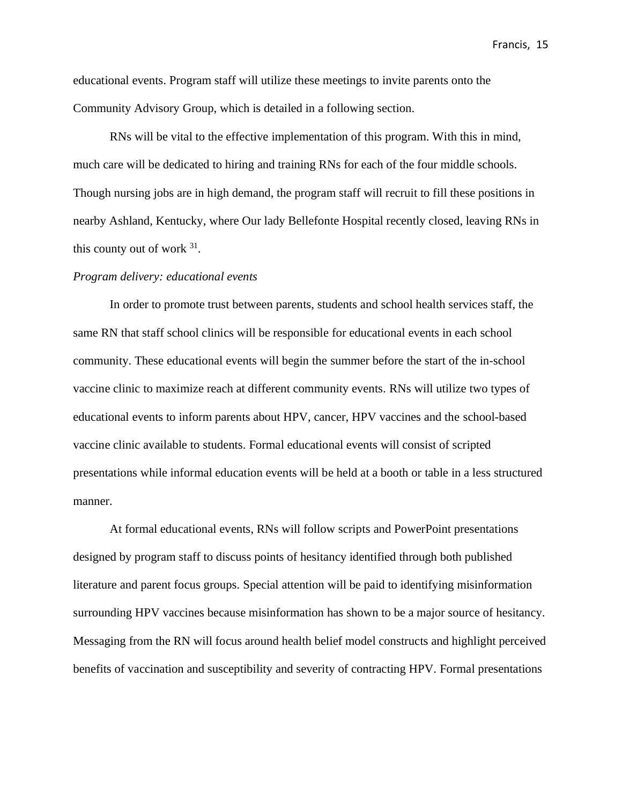educational events. Program staff will utilize these meetings to invite parents onto the Community Advisory Group, which is detailed in a following section.

RNs will be vital to the effective implementation of this program. With this in mind, much care will be dedicated to hiring and training RNs for each of the four middle schools. Though nursing jobs are in high demand, the program staff will recruit to fill these positions in nearby Ashland, Kentucky, where Our lady Bellefonte Hospital recently closed, leaving RNs in this county out of work  $31$ .

#### *Program delivery: educational events*

In order to promote trust between parents, students and school health services staff, the same RN that staff school clinics will be responsible for educational events in each school community. These educational events will begin the summer before the start of the in-school vaccine clinic to maximize reach at different community events. RNs will utilize two types of educational events to inform parents about HPV, cancer, HPV vaccines and the school-based vaccine clinic available to students. Formal educational events will consist of scripted presentations while informal education events will be held at a booth or table in a less structured manner.

At formal educational events, RNs will follow scripts and PowerPoint presentations designed by program staff to discuss points of hesitancy identified through both published literature and parent focus groups. Special attention will be paid to identifying misinformation surrounding HPV vaccines because misinformation has shown to be a major source of hesitancy. Messaging from the RN will focus around health belief model constructs and highlight perceived benefits of vaccination and susceptibility and severity of contracting HPV. Formal presentations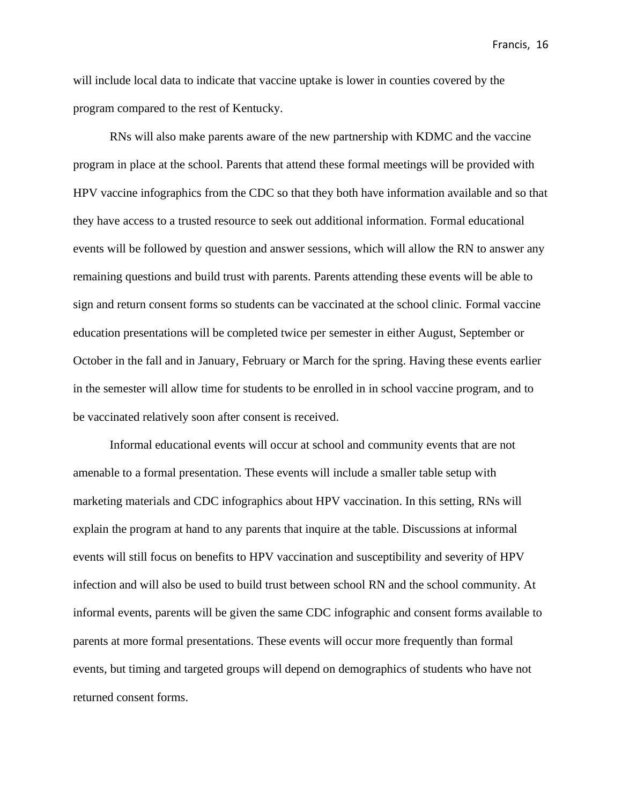will include local data to indicate that vaccine uptake is lower in counties covered by the program compared to the rest of Kentucky.

RNs will also make parents aware of the new partnership with KDMC and the vaccine program in place at the school. Parents that attend these formal meetings will be provided with HPV vaccine infographics from the CDC so that they both have information available and so that they have access to a trusted resource to seek out additional information. Formal educational events will be followed by question and answer sessions, which will allow the RN to answer any remaining questions and build trust with parents. Parents attending these events will be able to sign and return consent forms so students can be vaccinated at the school clinic. Formal vaccine education presentations will be completed twice per semester in either August, September or October in the fall and in January, February or March for the spring. Having these events earlier in the semester will allow time for students to be enrolled in in school vaccine program, and to be vaccinated relatively soon after consent is received.

Informal educational events will occur at school and community events that are not amenable to a formal presentation. These events will include a smaller table setup with marketing materials and CDC infographics about HPV vaccination. In this setting, RNs will explain the program at hand to any parents that inquire at the table. Discussions at informal events will still focus on benefits to HPV vaccination and susceptibility and severity of HPV infection and will also be used to build trust between school RN and the school community. At informal events, parents will be given the same CDC infographic and consent forms available to parents at more formal presentations. These events will occur more frequently than formal events, but timing and targeted groups will depend on demographics of students who have not returned consent forms.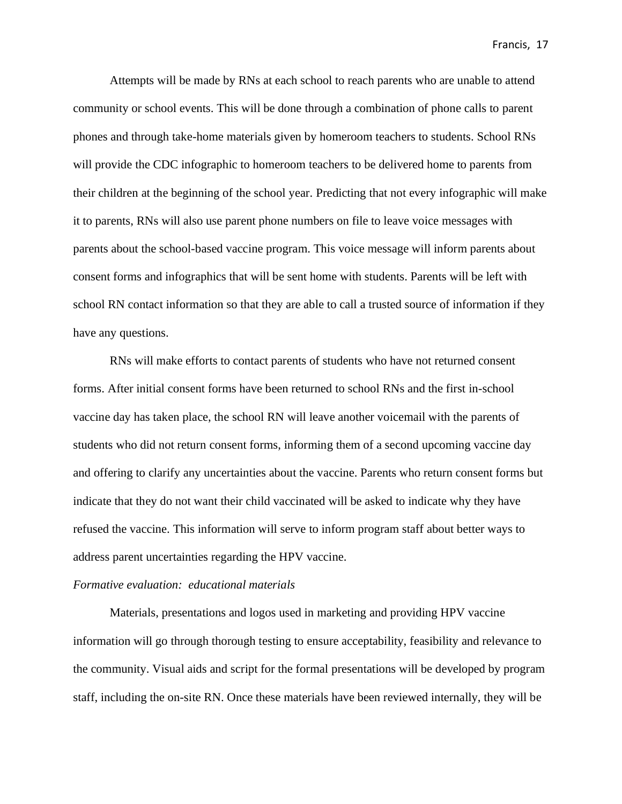Attempts will be made by RNs at each school to reach parents who are unable to attend community or school events. This will be done through a combination of phone calls to parent phones and through take-home materials given by homeroom teachers to students. School RNs will provide the CDC infographic to homeroom teachers to be delivered home to parents from their children at the beginning of the school year. Predicting that not every infographic will make it to parents, RNs will also use parent phone numbers on file to leave voice messages with parents about the school-based vaccine program. This voice message will inform parents about consent forms and infographics that will be sent home with students. Parents will be left with school RN contact information so that they are able to call a trusted source of information if they have any questions.

RNs will make efforts to contact parents of students who have not returned consent forms. After initial consent forms have been returned to school RNs and the first in-school vaccine day has taken place, the school RN will leave another voicemail with the parents of students who did not return consent forms, informing them of a second upcoming vaccine day and offering to clarify any uncertainties about the vaccine. Parents who return consent forms but indicate that they do not want their child vaccinated will be asked to indicate why they have refused the vaccine. This information will serve to inform program staff about better ways to address parent uncertainties regarding the HPV vaccine.

#### *Formative evaluation: educational materials*

Materials, presentations and logos used in marketing and providing HPV vaccine information will go through thorough testing to ensure acceptability, feasibility and relevance to the community. Visual aids and script for the formal presentations will be developed by program staff, including the on-site RN. Once these materials have been reviewed internally, they will be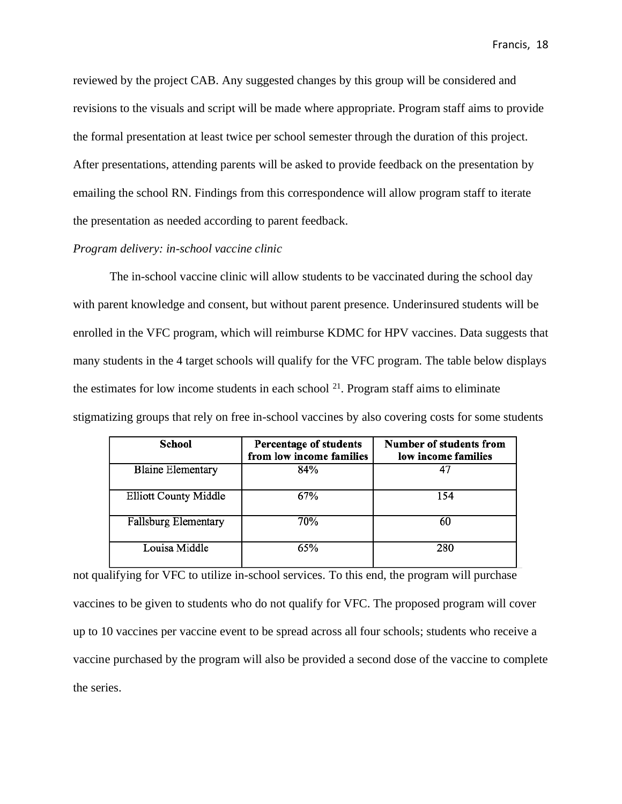reviewed by the project CAB. Any suggested changes by this group will be considered and revisions to the visuals and script will be made where appropriate. Program staff aims to provide the formal presentation at least twice per school semester through the duration of this project. After presentations, attending parents will be asked to provide feedback on the presentation by emailing the school RN. Findings from this correspondence will allow program staff to iterate the presentation as needed according to parent feedback.

#### *Program delivery: in-school vaccine clinic*

The in-school vaccine clinic will allow students to be vaccinated during the school day with parent knowledge and consent, but without parent presence. Underinsured students will be enrolled in the VFC program, which will reimburse KDMC for HPV vaccines. Data suggests that many students in the 4 target schools will qualify for the VFC program. The table below displays the estimates for low income students in each school  $2<sup>1</sup>$ . Program staff aims to eliminate stigmatizing groups that rely on free in-school vaccines by also covering costs for some students

| School                       | Percentage of students<br>from low income families | Number of students from<br>low income families |
|------------------------------|----------------------------------------------------|------------------------------------------------|
| <b>Blaine Elementary</b>     | 84%                                                |                                                |
| <b>Elliott County Middle</b> | 67%                                                | 154                                            |
| Fallsburg Elementary         | 70%                                                | 60                                             |
| Louisa Middle                | 65%                                                | 280                                            |

not qualifying for VFC to utilize in-school services. To this end, the program will purchase vaccines to be given to students who do not qualify for VFC. The proposed program will cover up to 10 vaccines per vaccine event to be spread across all four schools; students who receive a vaccine purchased by the program will also be provided a second dose of the vaccine to complete the series.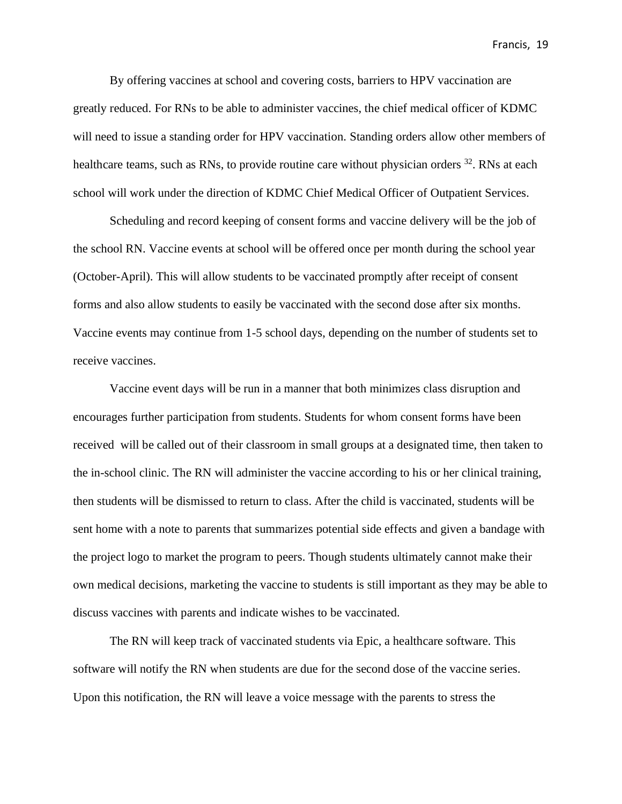By offering vaccines at school and covering costs, barriers to HPV vaccination are greatly reduced. For RNs to be able to administer vaccines, the chief medical officer of KDMC will need to issue a standing order for HPV vaccination. Standing orders allow other members of healthcare teams, such as RNs, to provide routine care without physician orders <sup>32</sup>. RNs at each school will work under the direction of KDMC Chief Medical Officer of Outpatient Services.

Scheduling and record keeping of consent forms and vaccine delivery will be the job of the school RN. Vaccine events at school will be offered once per month during the school year (October-April). This will allow students to be vaccinated promptly after receipt of consent forms and also allow students to easily be vaccinated with the second dose after six months. Vaccine events may continue from 1-5 school days, depending on the number of students set to receive vaccines.

Vaccine event days will be run in a manner that both minimizes class disruption and encourages further participation from students. Students for whom consent forms have been received will be called out of their classroom in small groups at a designated time, then taken to the in-school clinic. The RN will administer the vaccine according to his or her clinical training, then students will be dismissed to return to class. After the child is vaccinated, students will be sent home with a note to parents that summarizes potential side effects and given a bandage with the project logo to market the program to peers. Though students ultimately cannot make their own medical decisions, marketing the vaccine to students is still important as they may be able to discuss vaccines with parents and indicate wishes to be vaccinated.

The RN will keep track of vaccinated students via Epic, a healthcare software. This software will notify the RN when students are due for the second dose of the vaccine series. Upon this notification, the RN will leave a voice message with the parents to stress the

Francis, 19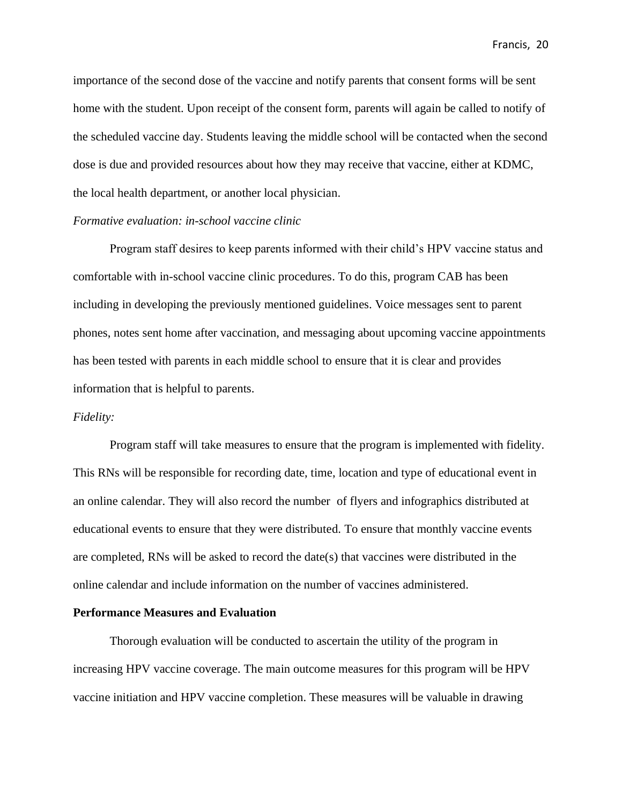importance of the second dose of the vaccine and notify parents that consent forms will be sent home with the student. Upon receipt of the consent form, parents will again be called to notify of the scheduled vaccine day. Students leaving the middle school will be contacted when the second dose is due and provided resources about how they may receive that vaccine, either at KDMC, the local health department, or another local physician.

#### *Formative evaluation: in-school vaccine clinic*

Program staff desires to keep parents informed with their child's HPV vaccine status and comfortable with in-school vaccine clinic procedures. To do this, program CAB has been including in developing the previously mentioned guidelines. Voice messages sent to parent phones, notes sent home after vaccination, and messaging about upcoming vaccine appointments has been tested with parents in each middle school to ensure that it is clear and provides information that is helpful to parents.

#### *Fidelity:*

Program staff will take measures to ensure that the program is implemented with fidelity. This RNs will be responsible for recording date, time, location and type of educational event in an online calendar. They will also record the number of flyers and infographics distributed at educational events to ensure that they were distributed. To ensure that monthly vaccine events are completed, RNs will be asked to record the date(s) that vaccines were distributed in the online calendar and include information on the number of vaccines administered.

#### **Performance Measures and Evaluation**

Thorough evaluation will be conducted to ascertain the utility of the program in increasing HPV vaccine coverage. The main outcome measures for this program will be HPV vaccine initiation and HPV vaccine completion. These measures will be valuable in drawing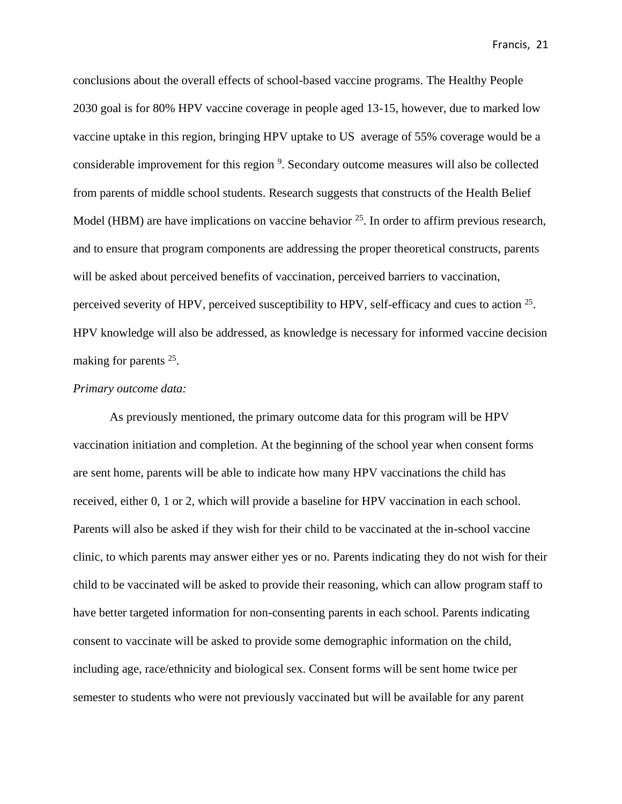conclusions about the overall effects of school-based vaccine programs. The Healthy People 2030 goal is for 80% HPV vaccine coverage in people aged 13-15, however, due to marked low vaccine uptake in this region, bringing HPV uptake to US average of 55% coverage would be a considerable improvement for this region <sup>9</sup>. Secondary outcome measures will also be collected from parents of middle school students. Research suggests that constructs of the Health Belief Model (HBM) are have implications on vaccine behavior <sup>25</sup>. In order to affirm previous research, and to ensure that program components are addressing the proper theoretical constructs, parents will be asked about perceived benefits of vaccination, perceived barriers to vaccination, perceived severity of HPV, perceived susceptibility to HPV, self-efficacy and cues to action  $25$ . HPV knowledge will also be addressed, as knowledge is necessary for informed vaccine decision making for parents<sup>25</sup>.

#### *Primary outcome data:*

As previously mentioned, the primary outcome data for this program will be HPV vaccination initiation and completion. At the beginning of the school year when consent forms are sent home, parents will be able to indicate how many HPV vaccinations the child has received, either 0, 1 or 2, which will provide a baseline for HPV vaccination in each school. Parents will also be asked if they wish for their child to be vaccinated at the in-school vaccine clinic, to which parents may answer either yes or no. Parents indicating they do not wish for their child to be vaccinated will be asked to provide their reasoning, which can allow program staff to have better targeted information for non-consenting parents in each school. Parents indicating consent to vaccinate will be asked to provide some demographic information on the child, including age, race/ethnicity and biological sex. Consent forms will be sent home twice per semester to students who were not previously vaccinated but will be available for any parent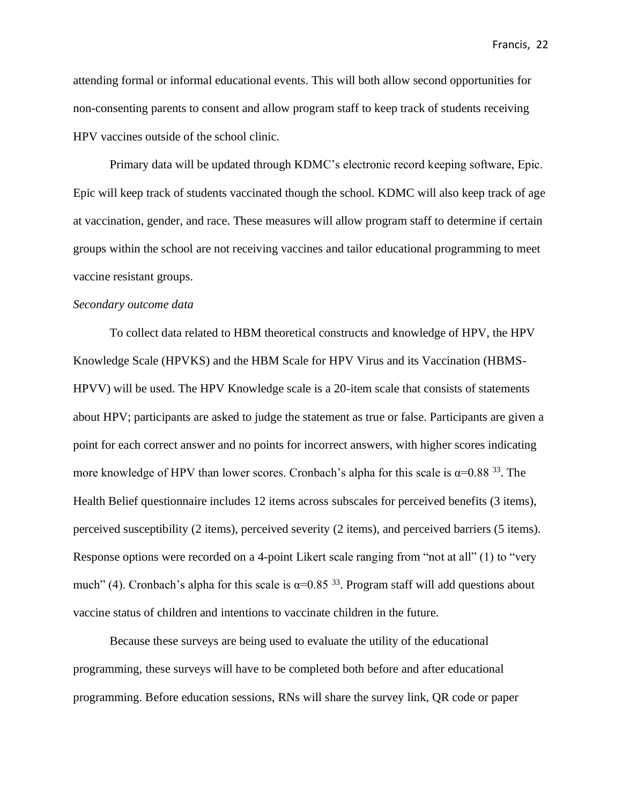attending formal or informal educational events. This will both allow second opportunities for non-consenting parents to consent and allow program staff to keep track of students receiving HPV vaccines outside of the school clinic.

Primary data will be updated through KDMC's electronic record keeping software, Epic. Epic will keep track of students vaccinated though the school. KDMC will also keep track of age at vaccination, gender, and race. These measures will allow program staff to determine if certain groups within the school are not receiving vaccines and tailor educational programming to meet vaccine resistant groups.

#### *Secondary outcome data*

To collect data related to HBM theoretical constructs and knowledge of HPV, the HPV Knowledge Scale (HPVKS) and the HBM Scale for HPV Virus and its Vaccination (HBMS-HPVV) will be used. The HPV Knowledge scale is a 20-item scale that consists of statements about HPV; participants are asked to judge the statement as true or false. Participants are given a point for each correct answer and no points for incorrect answers, with higher scores indicating more knowledge of HPV than lower scores. Cronbach's alpha for this scale is  $\alpha$ =0.88<sup>33</sup>. The Health Belief questionnaire includes 12 items across subscales for perceived benefits (3 items), perceived susceptibility (2 items), perceived severity (2 items), and perceived barriers (5 items). Response options were recorded on a 4-point Likert scale ranging from "not at all" (1) to "very much" (4). Cronbach's alpha for this scale is  $\alpha$ =0.85<sup>33</sup>. Program staff will add questions about vaccine status of children and intentions to vaccinate children in the future.

Because these surveys are being used to evaluate the utility of the educational programming, these surveys will have to be completed both before and after educational programming. Before education sessions, RNs will share the survey link, QR code or paper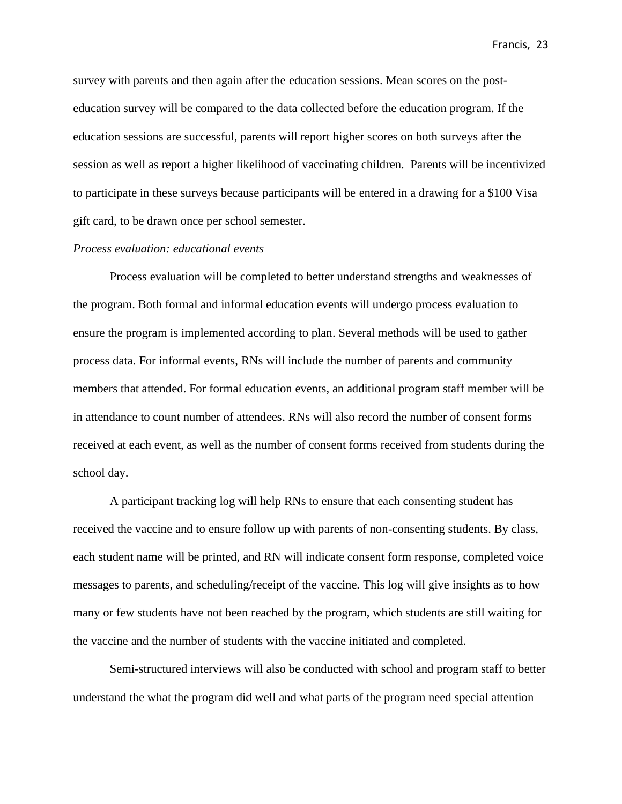survey with parents and then again after the education sessions. Mean scores on the posteducation survey will be compared to the data collected before the education program. If the education sessions are successful, parents will report higher scores on both surveys after the session as well as report a higher likelihood of vaccinating children. Parents will be incentivized to participate in these surveys because participants will be entered in a drawing for a \$100 Visa gift card, to be drawn once per school semester.

#### *Process evaluation: educational events*

Process evaluation will be completed to better understand strengths and weaknesses of the program. Both formal and informal education events will undergo process evaluation to ensure the program is implemented according to plan. Several methods will be used to gather process data. For informal events, RNs will include the number of parents and community members that attended. For formal education events, an additional program staff member will be in attendance to count number of attendees. RNs will also record the number of consent forms received at each event, as well as the number of consent forms received from students during the school day.

A participant tracking log will help RNs to ensure that each consenting student has received the vaccine and to ensure follow up with parents of non-consenting students. By class, each student name will be printed, and RN will indicate consent form response, completed voice messages to parents, and scheduling/receipt of the vaccine. This log will give insights as to how many or few students have not been reached by the program, which students are still waiting for the vaccine and the number of students with the vaccine initiated and completed.

Semi-structured interviews will also be conducted with school and program staff to better understand the what the program did well and what parts of the program need special attention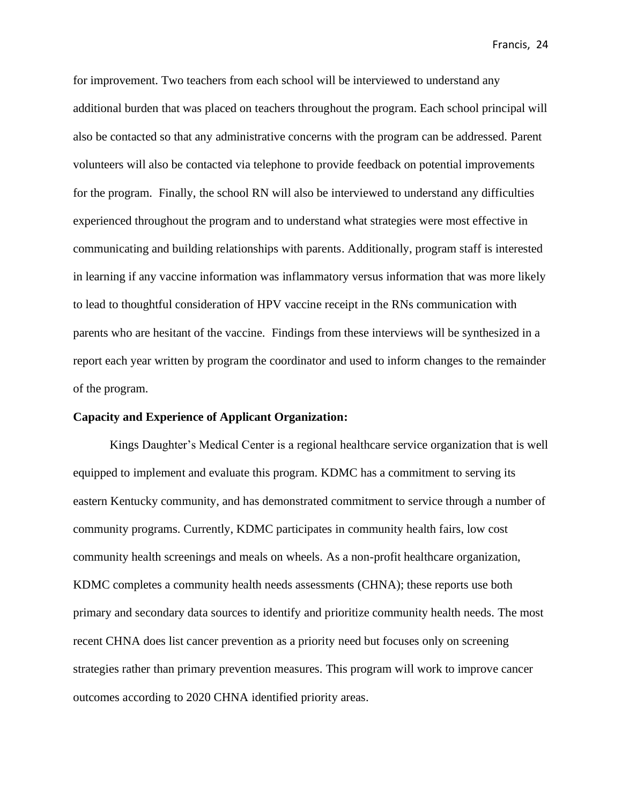for improvement. Two teachers from each school will be interviewed to understand any additional burden that was placed on teachers throughout the program. Each school principal will also be contacted so that any administrative concerns with the program can be addressed. Parent volunteers will also be contacted via telephone to provide feedback on potential improvements for the program. Finally, the school RN will also be interviewed to understand any difficulties experienced throughout the program and to understand what strategies were most effective in communicating and building relationships with parents. Additionally, program staff is interested in learning if any vaccine information was inflammatory versus information that was more likely to lead to thoughtful consideration of HPV vaccine receipt in the RNs communication with parents who are hesitant of the vaccine. Findings from these interviews will be synthesized in a report each year written by program the coordinator and used to inform changes to the remainder of the program.

#### **Capacity and Experience of Applicant Organization:**

Kings Daughter's Medical Center is a regional healthcare service organization that is well equipped to implement and evaluate this program. KDMC has a commitment to serving its eastern Kentucky community, and has demonstrated commitment to service through a number of community programs. Currently, KDMC participates in community health fairs, low cost community health screenings and meals on wheels. As a non-profit healthcare organization, KDMC completes a community health needs assessments (CHNA); these reports use both primary and secondary data sources to identify and prioritize community health needs. The most recent CHNA does list cancer prevention as a priority need but focuses only on screening strategies rather than primary prevention measures. This program will work to improve cancer outcomes according to 2020 CHNA identified priority areas.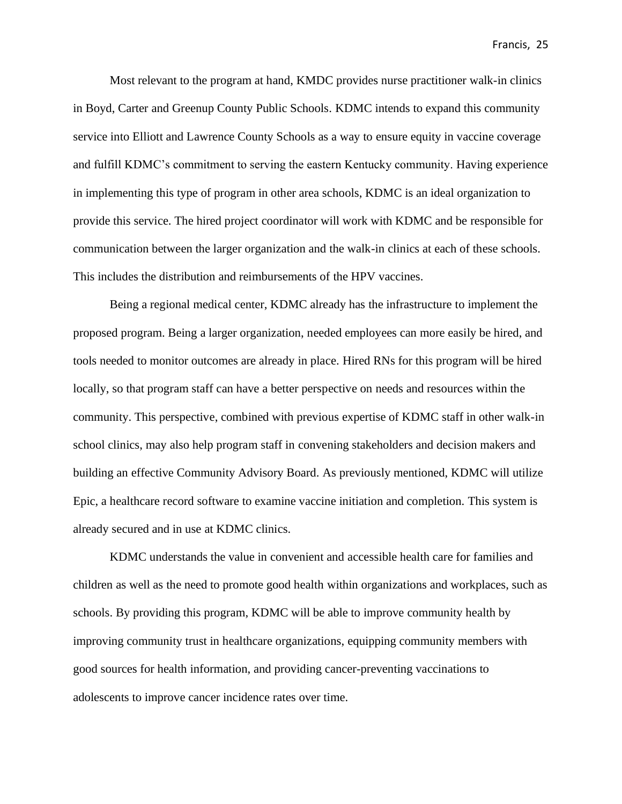Most relevant to the program at hand, KMDC provides nurse practitioner walk-in clinics in Boyd, Carter and Greenup County Public Schools. KDMC intends to expand this community service into Elliott and Lawrence County Schools as a way to ensure equity in vaccine coverage and fulfill KDMC's commitment to serving the eastern Kentucky community. Having experience in implementing this type of program in other area schools, KDMC is an ideal organization to provide this service. The hired project coordinator will work with KDMC and be responsible for communication between the larger organization and the walk-in clinics at each of these schools. This includes the distribution and reimbursements of the HPV vaccines.

Being a regional medical center, KDMC already has the infrastructure to implement the proposed program. Being a larger organization, needed employees can more easily be hired, and tools needed to monitor outcomes are already in place. Hired RNs for this program will be hired locally, so that program staff can have a better perspective on needs and resources within the community. This perspective, combined with previous expertise of KDMC staff in other walk-in school clinics, may also help program staff in convening stakeholders and decision makers and building an effective Community Advisory Board. As previously mentioned, KDMC will utilize Epic, a healthcare record software to examine vaccine initiation and completion. This system is already secured and in use at KDMC clinics.

KDMC understands the value in convenient and accessible health care for families and children as well as the need to promote good health within organizations and workplaces, such as schools. By providing this program, KDMC will be able to improve community health by improving community trust in healthcare organizations, equipping community members with good sources for health information, and providing cancer-preventing vaccinations to adolescents to improve cancer incidence rates over time.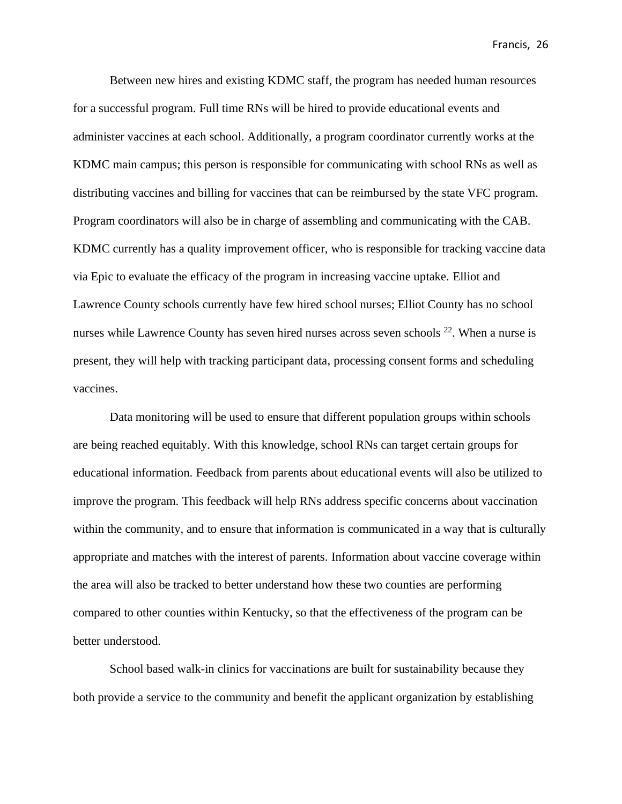Between new hires and existing KDMC staff, the program has needed human resources for a successful program. Full time RNs will be hired to provide educational events and administer vaccines at each school. Additionally, a program coordinator currently works at the KDMC main campus; this person is responsible for communicating with school RNs as well as distributing vaccines and billing for vaccines that can be reimbursed by the state VFC program. Program coordinators will also be in charge of assembling and communicating with the CAB. KDMC currently has a quality improvement officer, who is responsible for tracking vaccine data via Epic to evaluate the efficacy of the program in increasing vaccine uptake. Elliot and Lawrence County schools currently have few hired school nurses; Elliot County has no school nurses while Lawrence County has seven hired nurses across seven schools <sup>22</sup>. When a nurse is present, they will help with tracking participant data, processing consent forms and scheduling vaccines.

Data monitoring will be used to ensure that different population groups within schools are being reached equitably. With this knowledge, school RNs can target certain groups for educational information. Feedback from parents about educational events will also be utilized to improve the program. This feedback will help RNs address specific concerns about vaccination within the community, and to ensure that information is communicated in a way that is culturally appropriate and matches with the interest of parents. Information about vaccine coverage within the area will also be tracked to better understand how these two counties are performing compared to other counties within Kentucky, so that the effectiveness of the program can be better understood.

School based walk-in clinics for vaccinations are built for sustainability because they both provide a service to the community and benefit the applicant organization by establishing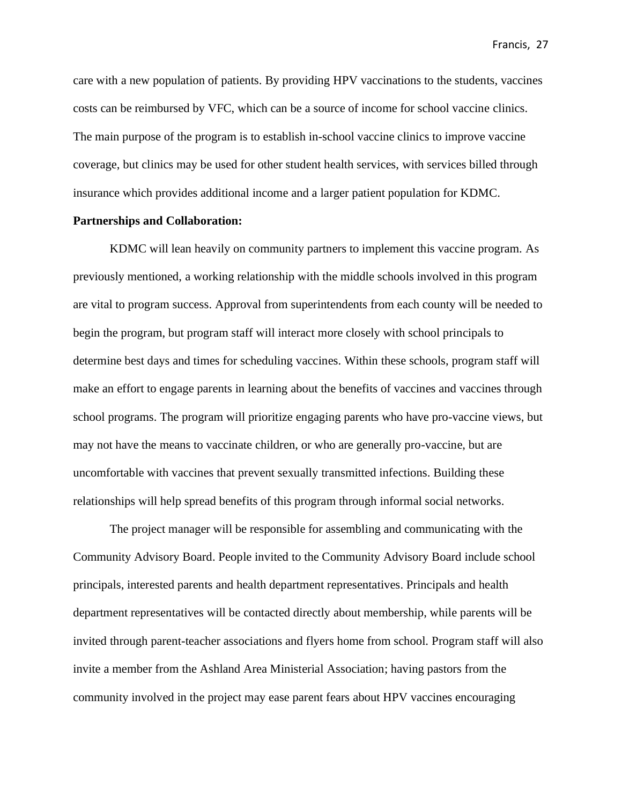care with a new population of patients. By providing HPV vaccinations to the students, vaccines costs can be reimbursed by VFC, which can be a source of income for school vaccine clinics. The main purpose of the program is to establish in-school vaccine clinics to improve vaccine coverage, but clinics may be used for other student health services, with services billed through insurance which provides additional income and a larger patient population for KDMC.

#### **Partnerships and Collaboration:**

KDMC will lean heavily on community partners to implement this vaccine program. As previously mentioned, a working relationship with the middle schools involved in this program are vital to program success. Approval from superintendents from each county will be needed to begin the program, but program staff will interact more closely with school principals to determine best days and times for scheduling vaccines. Within these schools, program staff will make an effort to engage parents in learning about the benefits of vaccines and vaccines through school programs. The program will prioritize engaging parents who have pro-vaccine views, but may not have the means to vaccinate children, or who are generally pro-vaccine, but are uncomfortable with vaccines that prevent sexually transmitted infections. Building these relationships will help spread benefits of this program through informal social networks.

The project manager will be responsible for assembling and communicating with the Community Advisory Board. People invited to the Community Advisory Board include school principals, interested parents and health department representatives. Principals and health department representatives will be contacted directly about membership, while parents will be invited through parent-teacher associations and flyers home from school. Program staff will also invite a member from the Ashland Area Ministerial Association; having pastors from the community involved in the project may ease parent fears about HPV vaccines encouraging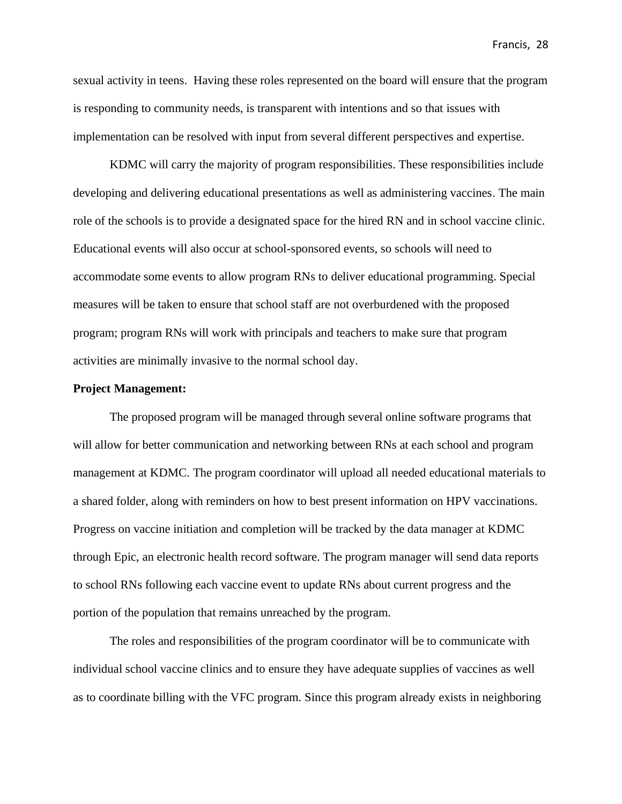sexual activity in teens. Having these roles represented on the board will ensure that the program is responding to community needs, is transparent with intentions and so that issues with implementation can be resolved with input from several different perspectives and expertise.

KDMC will carry the majority of program responsibilities. These responsibilities include developing and delivering educational presentations as well as administering vaccines. The main role of the schools is to provide a designated space for the hired RN and in school vaccine clinic. Educational events will also occur at school-sponsored events, so schools will need to accommodate some events to allow program RNs to deliver educational programming. Special measures will be taken to ensure that school staff are not overburdened with the proposed program; program RNs will work with principals and teachers to make sure that program activities are minimally invasive to the normal school day.

#### **Project Management:**

The proposed program will be managed through several online software programs that will allow for better communication and networking between RNs at each school and program management at KDMC. The program coordinator will upload all needed educational materials to a shared folder, along with reminders on how to best present information on HPV vaccinations. Progress on vaccine initiation and completion will be tracked by the data manager at KDMC through Epic, an electronic health record software. The program manager will send data reports to school RNs following each vaccine event to update RNs about current progress and the portion of the population that remains unreached by the program.

The roles and responsibilities of the program coordinator will be to communicate with individual school vaccine clinics and to ensure they have adequate supplies of vaccines as well as to coordinate billing with the VFC program. Since this program already exists in neighboring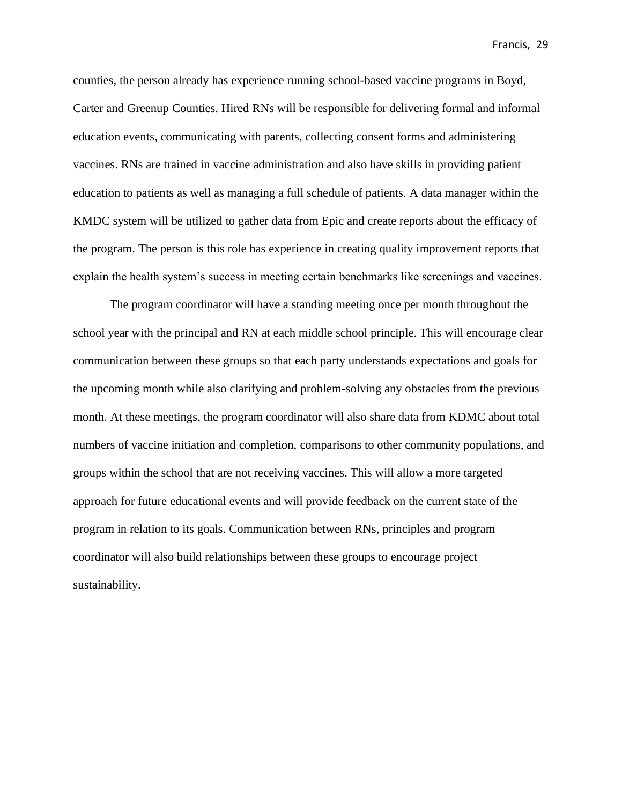counties, the person already has experience running school-based vaccine programs in Boyd, Carter and Greenup Counties. Hired RNs will be responsible for delivering formal and informal education events, communicating with parents, collecting consent forms and administering vaccines. RNs are trained in vaccine administration and also have skills in providing patient education to patients as well as managing a full schedule of patients. A data manager within the KMDC system will be utilized to gather data from Epic and create reports about the efficacy of the program. The person is this role has experience in creating quality improvement reports that explain the health system's success in meeting certain benchmarks like screenings and vaccines.

The program coordinator will have a standing meeting once per month throughout the school year with the principal and RN at each middle school principle. This will encourage clear communication between these groups so that each party understands expectations and goals for the upcoming month while also clarifying and problem-solving any obstacles from the previous month. At these meetings, the program coordinator will also share data from KDMC about total numbers of vaccine initiation and completion, comparisons to other community populations, and groups within the school that are not receiving vaccines. This will allow a more targeted approach for future educational events and will provide feedback on the current state of the program in relation to its goals. Communication between RNs, principles and program coordinator will also build relationships between these groups to encourage project sustainability.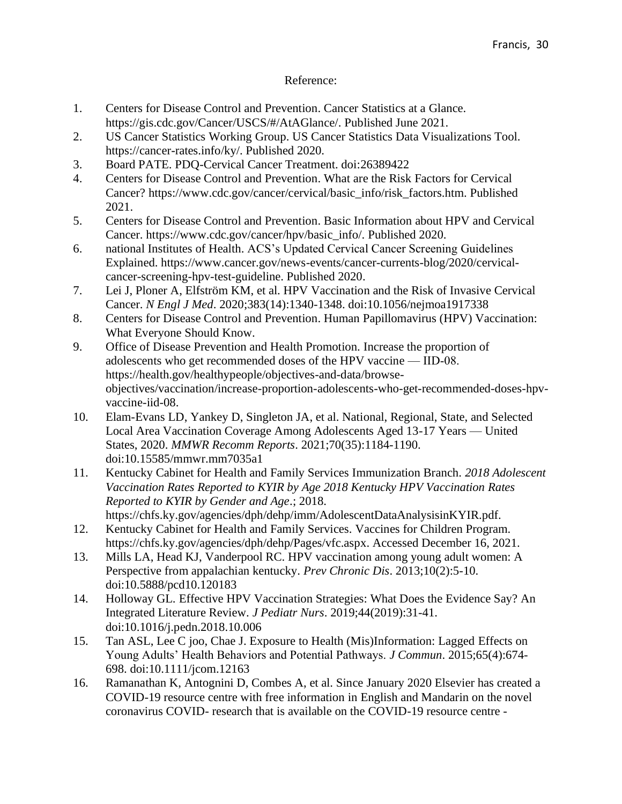## Reference:

- 1. Centers for Disease Control and Prevention. Cancer Statistics at a Glance. https://gis.cdc.gov/Cancer/USCS/#/AtAGlance/. Published June 2021.
- 2. US Cancer Statistics Working Group. US Cancer Statistics Data Visualizations Tool. https://cancer-rates.info/ky/. Published 2020.
- 3. Board PATE. PDQ-Cervical Cancer Treatment. doi:26389422
- 4. Centers for Disease Control and Prevention. What are the Risk Factors for Cervical Cancer? https://www.cdc.gov/cancer/cervical/basic\_info/risk\_factors.htm. Published 2021.
- 5. Centers for Disease Control and Prevention. Basic Information about HPV and Cervical Cancer. https://www.cdc.gov/cancer/hpv/basic\_info/. Published 2020.
- 6. national Institutes of Health. ACS's Updated Cervical Cancer Screening Guidelines Explained. https://www.cancer.gov/news-events/cancer-currents-blog/2020/cervicalcancer-screening-hpv-test-guideline. Published 2020.
- 7. Lei J, Ploner A, Elfström KM, et al. HPV Vaccination and the Risk of Invasive Cervical Cancer. *N Engl J Med*. 2020;383(14):1340-1348. doi:10.1056/nejmoa1917338
- 8. Centers for Disease Control and Prevention. Human Papillomavirus (HPV) Vaccination: What Everyone Should Know.
- 9. Office of Disease Prevention and Health Promotion. Increase the proportion of adolescents who get recommended doses of the HPV vaccine — IID‑08. https://health.gov/healthypeople/objectives-and-data/browseobjectives/vaccination/increase-proportion-adolescents-who-get-recommended-doses-hpvvaccine-iid-08.
- 10. Elam-Evans LD, Yankey D, Singleton JA, et al. National, Regional, State, and Selected Local Area Vaccination Coverage Among Adolescents Aged 13-17 Years — United States, 2020. *MMWR Recomm Reports*. 2021;70(35):1184-1190. doi:10.15585/mmwr.mm7035a1
- 11. Kentucky Cabinet for Health and Family Services Immunization Branch. *2018 Adolescent Vaccination Rates Reported to KYIR by Age 2018 Kentucky HPV Vaccination Rates Reported to KYIR by Gender and Age*.; 2018.

https://chfs.ky.gov/agencies/dph/dehp/imm/AdolescentDataAnalysisinKYIR.pdf. 12. Kentucky Cabinet for Health and Family Services. Vaccines for Children Program.

- https://chfs.ky.gov/agencies/dph/dehp/Pages/vfc.aspx. Accessed December 16, 2021. 13. Mills LA, Head KJ, Vanderpool RC. HPV vaccination among young adult women: A Perspective from appalachian kentucky. *Prev Chronic Dis*. 2013;10(2):5-10. doi:10.5888/pcd10.120183
- 14. Holloway GL. Effective HPV Vaccination Strategies: What Does the Evidence Say? An Integrated Literature Review. *J Pediatr Nurs*. 2019;44(2019):31-41. doi:10.1016/j.pedn.2018.10.006
- 15. Tan ASL, Lee C joo, Chae J. Exposure to Health (Mis)Information: Lagged Effects on Young Adults' Health Behaviors and Potential Pathways. *J Commun*. 2015;65(4):674- 698. doi:10.1111/jcom.12163
- 16. Ramanathan K, Antognini D, Combes A, et al. Since January 2020 Elsevier has created a COVID-19 resource centre with free information in English and Mandarin on the novel coronavirus COVID- research that is available on the COVID-19 resource centre -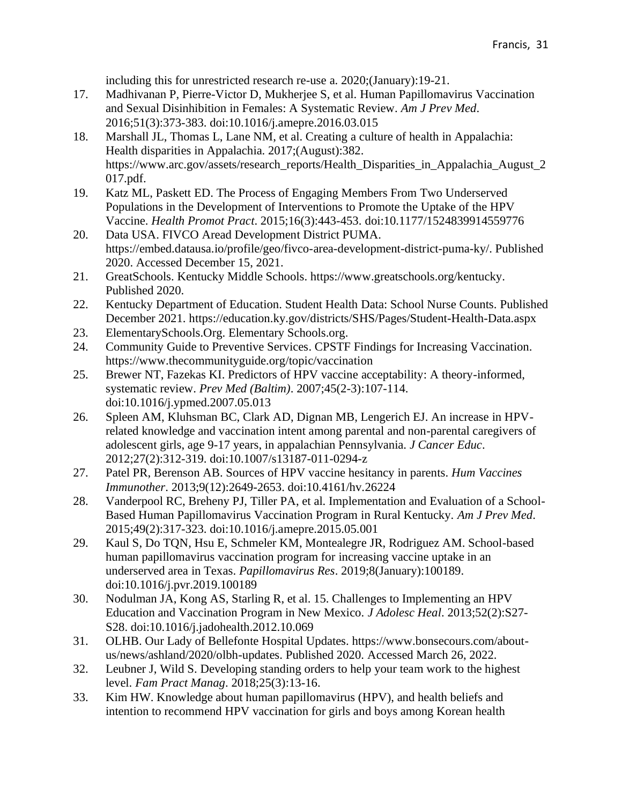including this for unrestricted research re-use a. 2020;(January):19-21.

- 17. Madhivanan P, Pierre-Victor D, Mukherjee S, et al. Human Papillomavirus Vaccination and Sexual Disinhibition in Females: A Systematic Review. *Am J Prev Med*. 2016;51(3):373-383. doi:10.1016/j.amepre.2016.03.015
- 18. Marshall JL, Thomas L, Lane NM, et al. Creating a culture of health in Appalachia: Health disparities in Appalachia. 2017;(August):382. https://www.arc.gov/assets/research\_reports/Health\_Disparities\_in\_Appalachia\_August\_2 017.pdf.
- 19. Katz ML, Paskett ED. The Process of Engaging Members From Two Underserved Populations in the Development of Interventions to Promote the Uptake of the HPV Vaccine. *Health Promot Pract*. 2015;16(3):443-453. doi:10.1177/1524839914559776
- 20. Data USA. FIVCO Aread Development District PUMA. https://embed.datausa.io/profile/geo/fivco-area-development-district-puma-ky/. Published 2020. Accessed December 15, 2021.
- 21. GreatSchools. Kentucky Middle Schools. https://www.greatschools.org/kentucky. Published 2020.
- 22. Kentucky Department of Education. Student Health Data: School Nurse Counts. Published December 2021. https://education.ky.gov/districts/SHS/Pages/Student-Health-Data.aspx
- 23. ElementarySchools.Org. Elementary Schools.org.
- 24. Community Guide to Preventive Services. CPSTF Findings for Increasing Vaccination. https://www.thecommunityguide.org/topic/vaccination
- 25. Brewer NT, Fazekas KI. Predictors of HPV vaccine acceptability: A theory-informed, systematic review. *Prev Med (Baltim)*. 2007;45(2-3):107-114. doi:10.1016/j.ypmed.2007.05.013
- 26. Spleen AM, Kluhsman BC, Clark AD, Dignan MB, Lengerich EJ. An increase in HPVrelated knowledge and vaccination intent among parental and non-parental caregivers of adolescent girls, age 9-17 years, in appalachian Pennsylvania. *J Cancer Educ*. 2012;27(2):312-319. doi:10.1007/s13187-011-0294-z
- 27. Patel PR, Berenson AB. Sources of HPV vaccine hesitancy in parents. *Hum Vaccines Immunother*. 2013;9(12):2649-2653. doi:10.4161/hv.26224
- 28. Vanderpool RC, Breheny PJ, Tiller PA, et al. Implementation and Evaluation of a School-Based Human Papillomavirus Vaccination Program in Rural Kentucky. *Am J Prev Med*. 2015;49(2):317-323. doi:10.1016/j.amepre.2015.05.001
- 29. Kaul S, Do TQN, Hsu E, Schmeler KM, Montealegre JR, Rodriguez AM. School-based human papillomavirus vaccination program for increasing vaccine uptake in an underserved area in Texas. *Papillomavirus Res*. 2019;8(January):100189. doi:10.1016/j.pvr.2019.100189
- 30. Nodulman JA, Kong AS, Starling R, et al. 15. Challenges to Implementing an HPV Education and Vaccination Program in New Mexico. *J Adolesc Heal*. 2013;52(2):S27- S28. doi:10.1016/j.jadohealth.2012.10.069
- 31. OLHB. Our Lady of Bellefonte Hospital Updates. https://www.bonsecours.com/aboutus/news/ashland/2020/olbh-updates. Published 2020. Accessed March 26, 2022.
- 32. Leubner J, Wild S. Developing standing orders to help your team work to the highest level. *Fam Pract Manag*. 2018;25(3):13-16.
- 33. Kim HW. Knowledge about human papillomavirus (HPV), and health beliefs and intention to recommend HPV vaccination for girls and boys among Korean health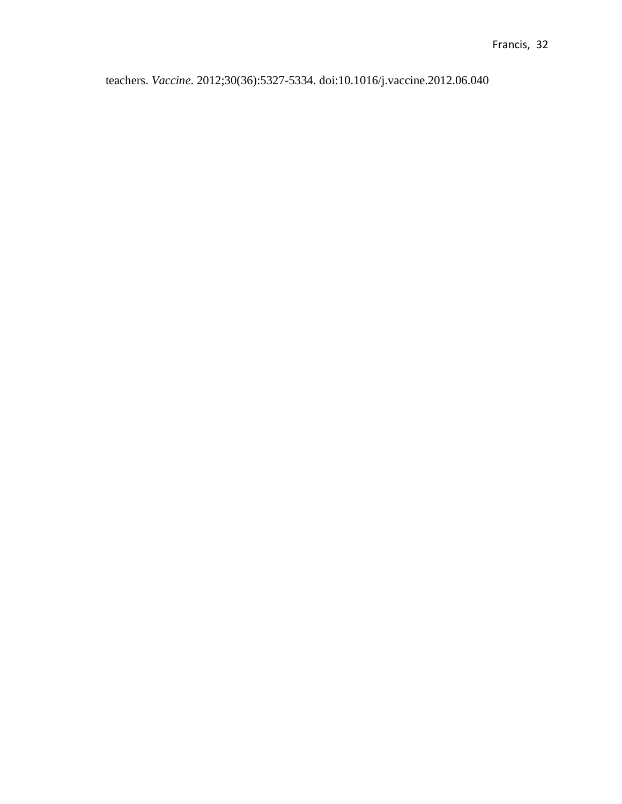teachers. *Vaccine*. 2012;30(36):5327-5334. doi:10.1016/j.vaccine.2012.06.040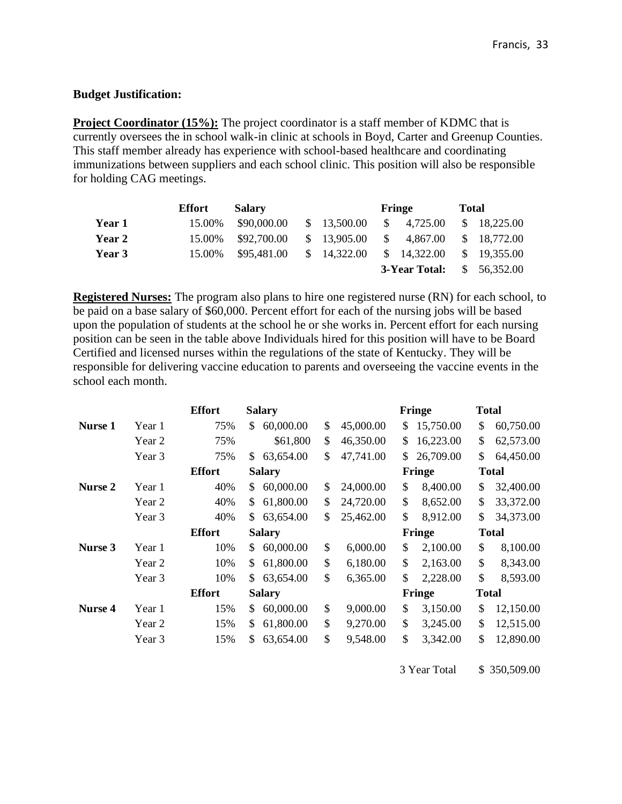#### **Budget Justification:**

**Project Coordinator (15%):** The project coordinator is a staff member of KDMC that is currently oversees the in school walk-in clinic at schools in Boyd, Carter and Greenup Counties. This staff member already has experience with school-based healthcare and coordinating immunizations between suppliers and each school clinic. This position will also be responsible for holding CAG meetings.

|               | Effort | <b>Salary</b> |                        |     | Fringe         | <b>Total</b> |             |
|---------------|--------|---------------|------------------------|-----|----------------|--------------|-------------|
| Year 1        | 15.00% | \$90,000.00   | \$13,500.00            |     | $\$\,4.725.00$ |              | \$18,225.00 |
| <b>Year 2</b> | 15.00% | \$92,700.00   | \$13,905.00            | S – | 4,867.00       |              | \$18,772.00 |
| Year 3        | 15.00% | \$95,481.00   | $\frac{\$}{14,322.00}$ |     | \$14,322.00    |              | \$19,355.00 |
|               |        |               |                        |     | 3-Year Total:  | $\mathbb{S}$ | 56,352.00   |

**Registered Nurses:** The program also plans to hire one registered nurse (RN) for each school, to be paid on a base salary of \$60,000. Percent effort for each of the nursing jobs will be based upon the population of students at the school he or she works in. Percent effort for each nursing position can be seen in the table above Individuals hired for this position will have to be Board Certified and licensed nurses within the regulations of the state of Kentucky. They will be responsible for delivering vaccine education to parents and overseeing the vaccine events in the school each month.

|                |        | <b>Effort</b> | <b>Salary</b>   |    |           |        | Fringe    | <b>Total</b> |              |  |  |  |
|----------------|--------|---------------|-----------------|----|-----------|--------|-----------|--------------|--------------|--|--|--|
| Nurse 1        | Year 1 | 75%           | 60,000.00<br>\$ | \$ | 45,000.00 | \$     | 15,750.00 | \$           | 60,750.00    |  |  |  |
|                | Year 2 | 75%           | \$61,800        | \$ | 46,350.00 | \$     | 16,223.00 | \$           | 62,573.00    |  |  |  |
|                | Year 3 | 75%           | \$<br>63,654.00 | \$ | 47,741.00 | \$     | 26,709.00 | \$           | 64,450.00    |  |  |  |
|                |        | <b>Effort</b> | <b>Salary</b>   |    |           | Fringe |           |              | <b>Total</b> |  |  |  |
| Nurse 2        | Year 1 | 40%           | 60,000.00<br>\$ | \$ | 24,000.00 | \$     | 8,400.00  | \$           | 32,400.00    |  |  |  |
|                | Year 2 | 40%           | \$<br>61,800.00 | \$ | 24,720.00 | \$     | 8,652.00  | \$           | 33,372.00    |  |  |  |
|                | Year 3 | 40%           | \$<br>63,654.00 | \$ | 25,462.00 | \$     | 8,912.00  | \$           | 34,373.00    |  |  |  |
|                |        | <b>Effort</b> | <b>Salary</b>   |    |           |        | Fringe    | <b>Total</b> |              |  |  |  |
| Nurse 3        | Year 1 | 10%           | 60,000.00<br>\$ | \$ | 6,000.00  | \$     | 2,100.00  | \$           | 8,100.00     |  |  |  |
|                | Year 2 | 10%           | 61,800.00<br>\$ | \$ | 6,180.00  | \$     | 2,163.00  | \$           | 8,343.00     |  |  |  |
|                | Year 3 | 10%           | \$<br>63,654.00 | \$ | 6,365.00  | \$     | 2,228.00  | \$           | 8,593.00     |  |  |  |
|                |        | <b>Effort</b> | <b>Salary</b>   |    |           |        | Fringe    | <b>Total</b> |              |  |  |  |
| <b>Nurse 4</b> | Year 1 | 15%           | 60,000.00<br>\$ | \$ | 9,000.00  | \$     | 3,150.00  | \$           | 12,150.00    |  |  |  |
|                | Year 2 | 15%           | \$<br>61,800.00 | \$ | 9,270.00  | \$     | 3,245.00  | \$           | 12,515.00    |  |  |  |
|                | Year 3 | 15%           | \$<br>63,654.00 | \$ | 9,548.00  | \$     | 3,342.00  | \$           | 12,890.00    |  |  |  |

3 Year Total \$ 350,509.00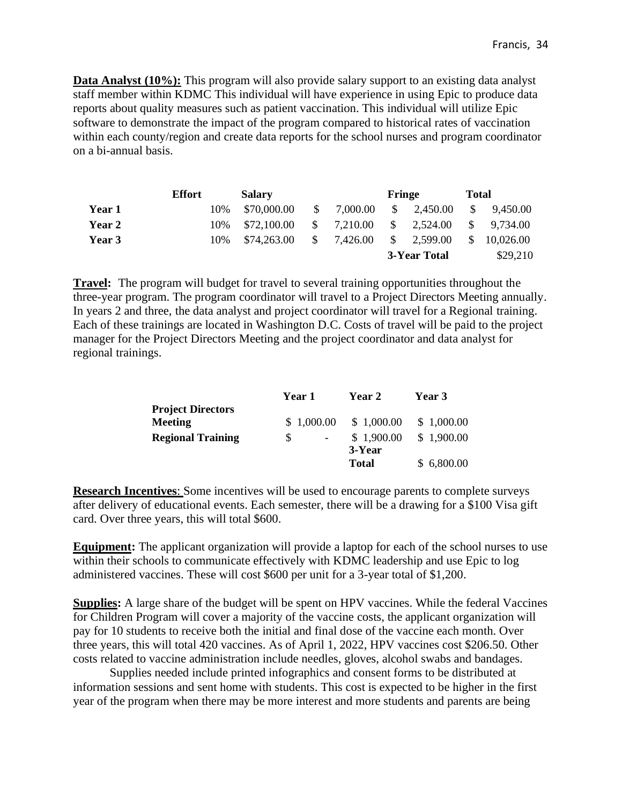**Data Analyst (10%):** This program will also provide salary support to an existing data analyst staff member within KDMC This individual will have experience in using Epic to produce data reports about quality measures such as patient vaccination. This individual will utilize Epic software to demonstrate the impact of the program compared to historical rates of vaccination within each county/region and create data reports for the school nurses and program coordinator on a bi-annual basis.

|               | <b>Effort</b> |     | <b>Salary</b> |              |          | Fringe       |          | <b>Total</b> |           |
|---------------|---------------|-----|---------------|--------------|----------|--------------|----------|--------------|-----------|
| Year 1        |               | 10% | \$70,000.00   | S.           | 7,000.00 | \$.          | 2,450.00 | <sup>S</sup> | 9,450.00  |
| <b>Year 2</b> |               | 10% | \$72,100.00   | <sup>S</sup> | 7,210.00 | <sup>S</sup> | 2,524.00 | <sup>S</sup> | 9.734.00  |
| Year 3        |               | 10% | \$74,263.00   | $\mathbb{S}$ | 7,426.00 | S.           | 2,599.00 | \$           | 10,026.00 |
|               |               |     |               |              |          | 3-Year Total |          |              | \$29,210  |

**Travel:** The program will budget for travel to several training opportunities throughout the three-year program. The program coordinator will travel to a Project Directors Meeting annually. In years 2 and three, the data analyst and project coordinator will travel for a Regional training. Each of these trainings are located in Washington D.C. Costs of travel will be paid to the project manager for the Project Directors Meeting and the project coordinator and data analyst for regional trainings.

|                          | <b>Year 1</b> | <b>Year 2</b> | Year 3     |
|--------------------------|---------------|---------------|------------|
| <b>Project Directors</b> |               |               |            |
| <b>Meeting</b>           | \$1,000.00    | \$1,000.00    | \$1,000.00 |
| <b>Regional Training</b> | S             | \$1,900.00    | \$1,900.00 |
|                          |               | 3-Year        |            |
|                          |               | <b>Total</b>  | \$6,800.00 |

**Research Incentives**: Some incentives will be used to encourage parents to complete surveys after delivery of educational events. Each semester, there will be a drawing for a \$100 Visa gift card. Over three years, this will total \$600.

**Equipment:** The applicant organization will provide a laptop for each of the school nurses to use within their schools to communicate effectively with KDMC leadership and use Epic to log administered vaccines. These will cost \$600 per unit for a 3-year total of \$1,200.

**Supplies:** A large share of the budget will be spent on HPV vaccines. While the federal Vaccines for Children Program will cover a majority of the vaccine costs, the applicant organization will pay for 10 students to receive both the initial and final dose of the vaccine each month. Over three years, this will total 420 vaccines. As of April 1, 2022, HPV vaccines cost \$206.50. Other costs related to vaccine administration include needles, gloves, alcohol swabs and bandages.

Supplies needed include printed infographics and consent forms to be distributed at information sessions and sent home with students. This cost is expected to be higher in the first year of the program when there may be more interest and more students and parents are being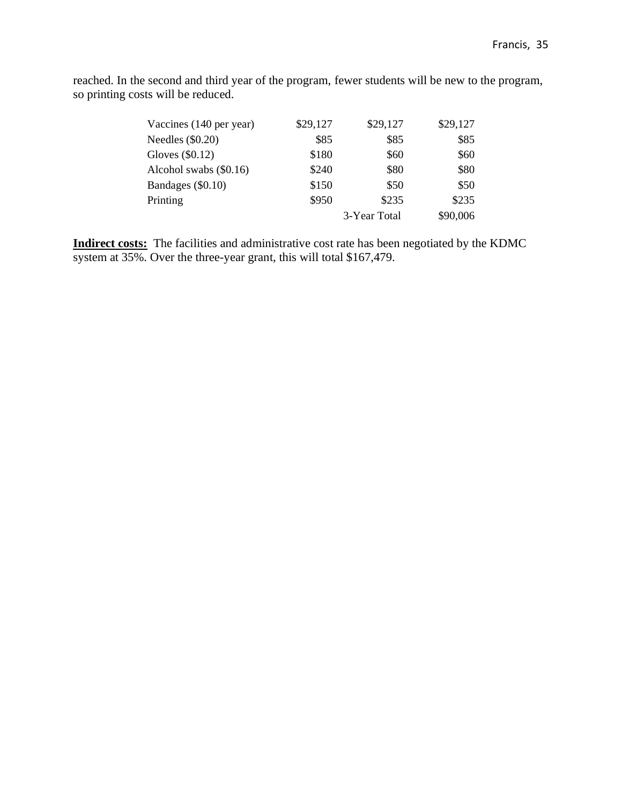reached. In the second and third year of the program, fewer students will be new to the program, so printing costs will be reduced.

| Vaccines (140 per year) | \$29,127 | \$29,127     | \$29,127 |
|-------------------------|----------|--------------|----------|
| Needles $(\$0.20)$      | \$85     | \$85         | \$85     |
| Gloves $(\$0.12)$       | \$180    | \$60         | \$60     |
| Alcohol swabs (\$0.16)  | \$240    | \$80         | \$80     |
| Bandages (\$0.10)       | \$150    | \$50         | \$50     |
| Printing                | \$950    | \$235        | \$235    |
|                         |          | 3-Year Total | \$90,006 |

**Indirect costs:** The facilities and administrative cost rate has been negotiated by the KDMC system at 35%. Over the three-year grant, this will total \$167,479.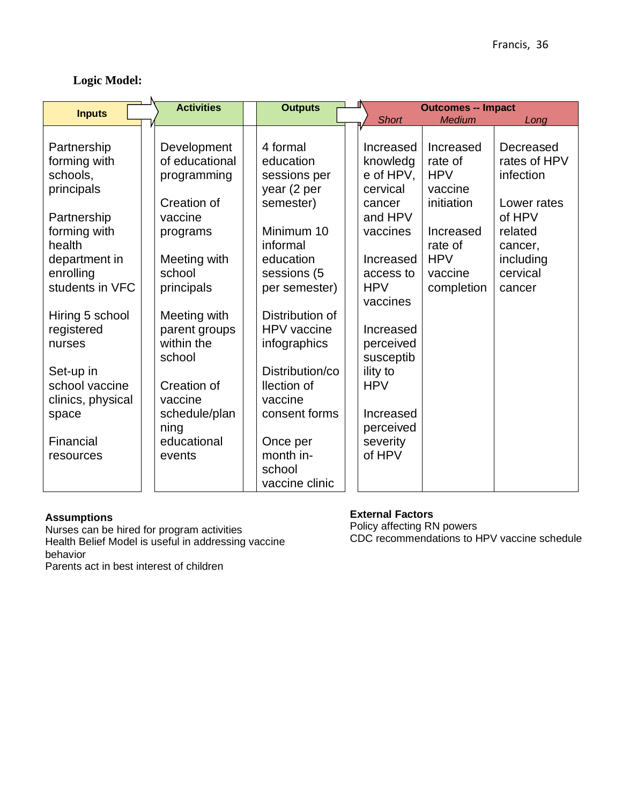# **Logic Model:**

|                                                 |                                                                                                                                                                                                                                                                                                                                                   |                                                                                                                                                                    | Long                                                                                           |
|-------------------------------------------------|---------------------------------------------------------------------------------------------------------------------------------------------------------------------------------------------------------------------------------------------------------------------------------------------------------------------------------------------------|--------------------------------------------------------------------------------------------------------------------------------------------------------------------|------------------------------------------------------------------------------------------------|
|                                                 |                                                                                                                                                                                                                                                                                                                                                   |                                                                                                                                                                    |                                                                                                |
|                                                 |                                                                                                                                                                                                                                                                                                                                                   |                                                                                                                                                                    | Decreased                                                                                      |
| education                                       |                                                                                                                                                                                                                                                                                                                                                   |                                                                                                                                                                    | rates of HPV                                                                                   |
| sessions per                                    | e of HPV,                                                                                                                                                                                                                                                                                                                                         |                                                                                                                                                                    | infection                                                                                      |
| year (2 per                                     | cervical                                                                                                                                                                                                                                                                                                                                          | vaccine                                                                                                                                                            |                                                                                                |
| semester)                                       | cancer                                                                                                                                                                                                                                                                                                                                            | initiation                                                                                                                                                         | Lower rates                                                                                    |
|                                                 | and HPV                                                                                                                                                                                                                                                                                                                                           |                                                                                                                                                                    | of HPV                                                                                         |
| Minimum 10                                      | vaccines                                                                                                                                                                                                                                                                                                                                          | Increased                                                                                                                                                          | related                                                                                        |
| informal                                        |                                                                                                                                                                                                                                                                                                                                                   | rate of                                                                                                                                                            | cancer,                                                                                        |
| education                                       | Increased                                                                                                                                                                                                                                                                                                                                         | <b>HPV</b>                                                                                                                                                         | including                                                                                      |
|                                                 | access to                                                                                                                                                                                                                                                                                                                                         | vaccine                                                                                                                                                            | cervical                                                                                       |
|                                                 | <b>HPV</b>                                                                                                                                                                                                                                                                                                                                        |                                                                                                                                                                    | cancer                                                                                         |
|                                                 |                                                                                                                                                                                                                                                                                                                                                   |                                                                                                                                                                    |                                                                                                |
|                                                 |                                                                                                                                                                                                                                                                                                                                                   |                                                                                                                                                                    |                                                                                                |
| <b>HPV</b> vaccine                              |                                                                                                                                                                                                                                                                                                                                                   |                                                                                                                                                                    |                                                                                                |
|                                                 |                                                                                                                                                                                                                                                                                                                                                   |                                                                                                                                                                    |                                                                                                |
|                                                 |                                                                                                                                                                                                                                                                                                                                                   |                                                                                                                                                                    |                                                                                                |
|                                                 |                                                                                                                                                                                                                                                                                                                                                   |                                                                                                                                                                    |                                                                                                |
|                                                 |                                                                                                                                                                                                                                                                                                                                                   |                                                                                                                                                                    |                                                                                                |
|                                                 |                                                                                                                                                                                                                                                                                                                                                   |                                                                                                                                                                    |                                                                                                |
|                                                 |                                                                                                                                                                                                                                                                                                                                                   |                                                                                                                                                                    |                                                                                                |
|                                                 |                                                                                                                                                                                                                                                                                                                                                   |                                                                                                                                                                    |                                                                                                |
|                                                 |                                                                                                                                                                                                                                                                                                                                                   |                                                                                                                                                                    |                                                                                                |
|                                                 |                                                                                                                                                                                                                                                                                                                                                   |                                                                                                                                                                    |                                                                                                |
|                                                 |                                                                                                                                                                                                                                                                                                                                                   |                                                                                                                                                                    |                                                                                                |
|                                                 |                                                                                                                                                                                                                                                                                                                                                   |                                                                                                                                                                    |                                                                                                |
| <b>Activities</b><br>Creation of<br>Creation of | <b>Outputs</b><br>4 formal<br>Development<br>of educational<br>programming<br>Meeting with<br>sessions (5<br>per semester)<br>Meeting with<br>Distribution of<br>parent groups<br>infographics<br>Distribution/co<br>llection of<br>vaccine<br>consent forms<br>schedule/plan<br>educational<br>Once per<br>month in-<br>school<br>vaccine clinic | <b>Short</b><br>Increased<br>knowledg<br>vaccines<br>Increased<br>perceived<br>susceptib<br>ility to<br><b>HPV</b><br>Increased<br>perceived<br>severity<br>of HPV | <b>Outcomes -- Impact</b><br><b>Medium</b><br>Increased<br>rate of<br><b>HPV</b><br>completion |

#### **Assumptions**

Nurses can be hired for program activities Health Belief Model is useful in addressing vaccine behavior Parents act in best interest of children

# **External Factors**

Policy affecting RN powers CDC recommendations to HPV vaccine schedule